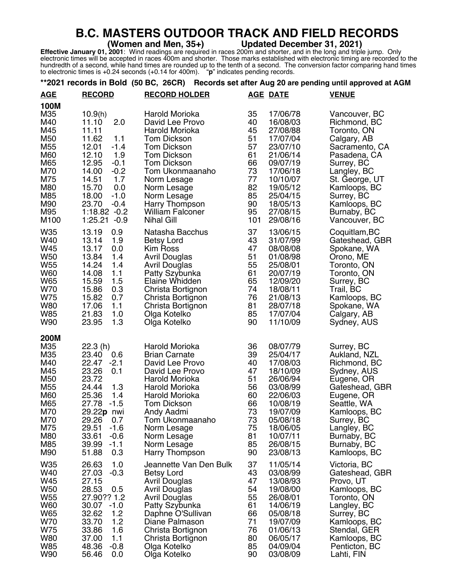## **B.C. MASTERS OUTDOOR TRACK AND FIELD RECORDS**<br>(Women and Men, 35+) Updated December 31, 2021)

**Effective January 01, 2001**: Wind readings are required in races 200m and shorter, and in the long and triple jump. Only electronic times will be accepted in races 400m and shorter. Those marks established with electronic timing are recorded to the hundredth of a second, while hand times are rounded up to the tenth of a second. The conversion factor comparing hand times to electronic times is +0.24 seconds (+0.14 for 400m). "**p**" indicates pending records.

## **\*\*2021 records in Bold (50 BC, 26CR) Records set after Aug 20 are pending until approved at AGM**

| <b>AGE</b>                                                                                                                 | <b>RECORD</b>                                                                                                                                                                                                                          | <b>RECORD HOLDER</b>                                                                                                                                                                                                                                                   |                                                                                   | <b>AGE DATE</b>                                                                                                                                                      | <b>VENUE</b>                                                                                                                                                                                                               |
|----------------------------------------------------------------------------------------------------------------------------|----------------------------------------------------------------------------------------------------------------------------------------------------------------------------------------------------------------------------------------|------------------------------------------------------------------------------------------------------------------------------------------------------------------------------------------------------------------------------------------------------------------------|-----------------------------------------------------------------------------------|----------------------------------------------------------------------------------------------------------------------------------------------------------------------|----------------------------------------------------------------------------------------------------------------------------------------------------------------------------------------------------------------------------|
| <b>100M</b><br>M35<br>M40<br>M45<br>M50<br>M55<br>M60<br>M65<br>M70<br>M75<br>M80<br>M85<br>M90<br>M95<br>M <sub>100</sub> | 10.9(h)<br>2.0<br>11.10<br>11.11<br>11.62<br>1.1<br>12.01<br>$-1.4$<br>12.10<br>1.9<br>12.95<br>$-0.1$<br>14.00<br>$-0.2$<br>1.7<br>14.51<br>15.70<br>0.0<br>18.00<br>$-1.0$<br>23.70<br>$-0.4$<br>$1:18.82 -0.2$<br>1:25.21<br>$-0.9$ | Harold Morioka<br>David Lee Provo<br>Harold Morioka<br><b>Tom Dickson</b><br><b>Tom Dickson</b><br>Tom Dickson<br><b>Tom Dickson</b><br>Tom Ukonmaanaho<br>Norm Lesage<br>Norm Lesage<br>Norm Lesage<br>Harry Thompson<br><b>William Falconer</b><br><b>Nihal Gill</b> | 35<br>40<br>45<br>51<br>57<br>61<br>66<br>73<br>77<br>82<br>85<br>90<br>95<br>101 | 17/06/78<br>16/08/03<br>27/08/88<br>17/07/04<br>23/07/10<br>21/06/14<br>09/07/19<br>17/06/18<br>10/10/07<br>19/05/12<br>25/04/15<br>18/05/13<br>27/08/15<br>29/08/16 | Vancouver, BC<br>Richmond, BC<br>Toronto, ON<br>Calgary, AB<br>Sacramento, CA<br>Pasadena, CA<br>Surrey, BC<br>Langley, BC<br>St. George, UT<br>Kamloops, BC<br>Surrey, BC<br>Kamloops, BC<br>Burnaby, BC<br>Vancouver, BC |
| W35<br>W40<br>W45<br>W <sub>50</sub><br>W <sub>55</sub><br>W60<br>W65<br>W70<br>W75<br><b>W80</b><br><b>W85</b><br>W90     | 0.9<br>13.19<br>13.14<br>1.9<br>13.17<br>0.0<br>13.84<br>1.4<br>14.24<br>1.4<br>14.08<br>1.1<br>1.5<br>15.59<br>15.86<br>0.3<br>15.82<br>0.7<br>17.06<br>1.1<br>21.83<br>1.0<br>1.3<br>23.95                                           | Natasha Bacchus<br><b>Betsy Lord</b><br>Kim Ross<br><b>Avril Douglas</b><br>Avril Douglas<br>Patty Szybunka<br>Elaine Whidden<br>Christa Bortignon<br>Christa Bortignon<br>Christa Bortignon<br>Olga Kotelko<br>Olga Kotelko                                           | 37<br>43<br>47<br>51<br>55<br>61<br>65<br>74<br>76<br>81<br>85<br>90              | 13/06/15<br>31/07/99<br>08/08/08<br>01/08/98<br>25/08/01<br>20/07/19<br>12/09/20<br>18/08/11<br>21/08/13<br>28/07/18<br>17/07/04<br>11/10/09                         | Coquitlam, BC<br>Gateshead, GBR<br>Spokane, WA<br>Orono, ME<br>Toronto, ON<br>Toronto, ON<br>Surrey, BC<br>Trail, BC<br>Kamloops, BC<br>Spokane, WA<br>Calgary, AB<br>Sydney, AUS                                          |
| <b>200M</b><br>M35<br>M35<br>M40<br>M45<br>M50<br>M55<br>M60<br>M65<br>M70<br>M70<br>M75<br>M80<br>M85<br>M90              | 22.3(h)<br>23.40<br>0.6<br>22.47<br>$-2.1$<br>23.26<br>0.1<br>23.72<br>1.3<br>24.44<br>25.36<br>1.4<br>$-1.5$<br>27.78<br>29.22p nwi<br>29.26<br>0.7<br>$-1.6$<br>29.51<br>33.61<br>$-0.6$<br>39.99<br>$-1.1$<br>0.3<br>51.88          | Harold Morioka<br><b>Brian Carnate</b><br>David Lee Provo<br>David Lee Provo<br>Harold Morioka<br>Harold Morioka<br>Harold Morioka<br>Tom Dickson<br>Andy Aadmi<br>Tom Ukonmaanaho<br>Norm Lesage<br>Norm Lesage<br>Norm Lesage<br>Harry Thompson                      | 36<br>39<br>40<br>47<br>51<br>56<br>60<br>66<br>73<br>73<br>75<br>81<br>85<br>90  | 08/07/79<br>25/04/17<br>17/08/03<br>18/10/09<br>26/06/94<br>03/08/99<br>22/06/03<br>10/08/19<br>19/07/09<br>05/08/18<br>18/06/05<br>10/07/11<br>26/08/15<br>23/08/13 | Surrey, BC<br>Aukland, NZL<br>Richmond, BC<br>Sydney, AUS<br>Eugene, OR<br>Gateshead, GBR<br>Eugene, OR<br>Seattle, WA<br>Kamloops, BC<br>Surrey, BC<br>Langley, BC<br>Burnaby, BC<br>Burnaby, BC<br>Kamloops, BC          |
| W35<br>W40<br>W45<br><b>W50</b><br>W <sub>55</sub><br>W60<br>W65<br>W70<br>W75<br><b>W80</b><br><b>W85</b><br>W90          | 26.63<br>1.0<br>$-0.3$<br>27.03<br>27.15<br>28.53<br>0.5<br>27.90?? 1.2<br>30.07<br>$-1.0$<br>32.62<br>1.2<br>1.2<br>33.70<br>33.86<br>1.6<br>37.00<br>1.1<br>$-0.8$<br>48.36<br>0.0<br>56.46                                          | Jeannette Van Den Bulk<br><b>Betsy Lord</b><br><b>Avril Douglas</b><br>Avril Douglas<br><b>Avril Douglas</b><br>Patty Szybunka<br>Daphne O'Sullivan<br>Diane Palmason<br>Christa Bortignon<br>Christa Bortignon<br>Olga Kotelko<br>Olga Kotelko                        | 37<br>43<br>47<br>54<br>55<br>61<br>66<br>71<br>76<br>80<br>85<br>90              | 11/05/14<br>03/08/99<br>13/08/93<br>19/08/00<br>26/08/01<br>14/06/19<br>05/08/18<br>19/07/09<br>01/06/13<br>06/05/17<br>04/09/04<br>03/08/09                         | Victoria, BC<br>Gateshead, GBR<br>Provo, UT<br>Kamloops, BC<br>Toronto, ON<br>Langley, BC<br>Surrey, BC<br>Kamloops, BC<br>Stendal, GER<br>Kamloops, BC<br>Penticton, BC<br>Lahti, FIN                                     |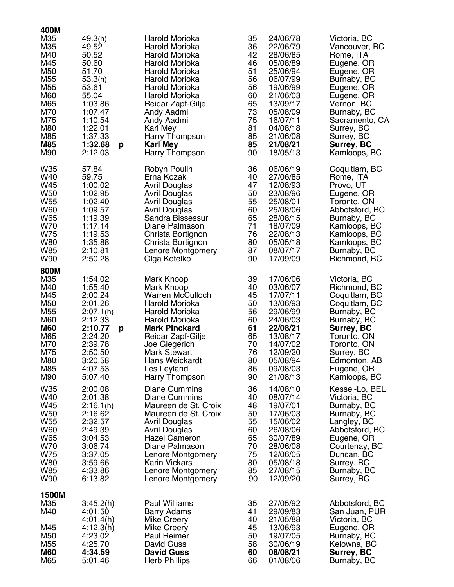| 400M<br>M35<br>M35<br>M40<br>M45<br>M <sub>50</sub><br>M <sub>55</sub><br>M <sub>55</sub><br>M60<br>M65<br>M70<br>M75<br>M80<br>M85<br><b>M85</b><br>M90 | 49.3(h)<br>49.52<br>50.52<br>50.60<br>51.70<br>53.3(h)<br>53.61<br>55.04<br>1:03.86<br>1:07.47<br>1:10.54<br>1:22.01<br>1:37.33<br>1:32.68<br>p<br>2:12.03 | Harold Morioka<br>Harold Morioka<br>Harold Morioka<br>Harold Morioka<br>Harold Morioka<br>Harold Morioka<br>Harold Morioka<br>Harold Morioka<br>Reidar Zapf-Gilje<br>Andy Aadmi<br>Andy Aadmi<br>Karl Mey<br>Harry Thompson<br><b>Karl Mey</b><br>Harry Thompson | 35<br>36<br>42<br>46<br>51<br>56<br>56<br>60<br>65<br>73<br>75<br>81<br>85<br>85<br>90 | 24/06/78<br>22/06/79<br>28/06/85<br>05/08/89<br>25/06/94<br>06/07/99<br>19/06/99<br>21/06/03<br>13/09/17<br>05/08/09<br>16/07/11<br>04/08/18<br>21/06/08<br>21/08/21<br>18/05/13 | Victoria, BC<br>Vancouver, BC<br>Rome, ITA<br>Eugene, OR<br>Eugene, OR<br>Burnaby, BC<br>Eugene, OR<br>Eugene, OR<br>Vernon, BC<br>Burnaby, BC<br>Sacramento, CA<br>Surrey, BC<br>Surrey, BC<br><b>Surrey, BC</b><br>Kamloops, BC |
|----------------------------------------------------------------------------------------------------------------------------------------------------------|------------------------------------------------------------------------------------------------------------------------------------------------------------|------------------------------------------------------------------------------------------------------------------------------------------------------------------------------------------------------------------------------------------------------------------|----------------------------------------------------------------------------------------|----------------------------------------------------------------------------------------------------------------------------------------------------------------------------------|-----------------------------------------------------------------------------------------------------------------------------------------------------------------------------------------------------------------------------------|
| W35                                                                                                                                                      | 57.84                                                                                                                                                      | Robyn Poulin                                                                                                                                                                                                                                                     | 36                                                                                     | 06/06/19                                                                                                                                                                         | Coquitlam, BC                                                                                                                                                                                                                     |
| W40                                                                                                                                                      | 59.75                                                                                                                                                      | Erna Kozak                                                                                                                                                                                                                                                       | 40                                                                                     | 27/06/85                                                                                                                                                                         | Rome, ITA                                                                                                                                                                                                                         |
| W45                                                                                                                                                      | 1:00.02                                                                                                                                                    | <b>Avril Douglas</b>                                                                                                                                                                                                                                             | 47                                                                                     | 12/08/93                                                                                                                                                                         | Provo, UT                                                                                                                                                                                                                         |
| W <sub>50</sub>                                                                                                                                          | 1:02.95                                                                                                                                                    | <b>Avril Douglas</b>                                                                                                                                                                                                                                             | 50                                                                                     | 23/08/96                                                                                                                                                                         | Eugene, OR                                                                                                                                                                                                                        |
| W <sub>55</sub>                                                                                                                                          | 1:02.40                                                                                                                                                    | Avril Douglas                                                                                                                                                                                                                                                    | 55                                                                                     | 25/08/01                                                                                                                                                                         | Toronto, ON                                                                                                                                                                                                                       |
| <b>W60</b>                                                                                                                                               | 1:09.57                                                                                                                                                    | <b>Avril Douglas</b>                                                                                                                                                                                                                                             | 60                                                                                     | 25/08/06                                                                                                                                                                         | Abbotsford, BC                                                                                                                                                                                                                    |
| W65                                                                                                                                                      | 1:19.39                                                                                                                                                    | Sandra Bissessur                                                                                                                                                                                                                                                 | 65                                                                                     | 28/08/15                                                                                                                                                                         | Burnaby, BC                                                                                                                                                                                                                       |
| W70                                                                                                                                                      | 1:17.14                                                                                                                                                    | Diane Palmason                                                                                                                                                                                                                                                   | 71                                                                                     | 18/07/09                                                                                                                                                                         | Kamloops, BC                                                                                                                                                                                                                      |
| W75                                                                                                                                                      | 1:19.53                                                                                                                                                    | Christa Bortignon                                                                                                                                                                                                                                                | 76                                                                                     | 22/08/13                                                                                                                                                                         | Kamloops, BC                                                                                                                                                                                                                      |
| <b>W80</b>                                                                                                                                               | 1:35.88                                                                                                                                                    | Christa Bortignon                                                                                                                                                                                                                                                | 80                                                                                     | 05/05/18                                                                                                                                                                         | Kamloops, BC                                                                                                                                                                                                                      |
| <b>W85</b>                                                                                                                                               | 2:10.81                                                                                                                                                    | Lenore Montgomery                                                                                                                                                                                                                                                | 87                                                                                     | 08/07/17                                                                                                                                                                         | Burnaby, BC                                                                                                                                                                                                                       |
| W90                                                                                                                                                      | 2:50.28                                                                                                                                                    | Olga Kotelko                                                                                                                                                                                                                                                     | 90                                                                                     | 17/09/09                                                                                                                                                                         | Richmond, BC                                                                                                                                                                                                                      |
| 800M<br>M35<br>M40<br>M45<br>M50<br>M <sub>55</sub><br>M60<br><b>M60</b><br>M65<br>M70<br>M75<br>M80<br>M85<br>M90                                       | 1:54.02<br>1:55.40<br>2:00.24<br>2:01.26<br>2:07.1(h)<br>2:12.33<br>2:10.77<br>p<br>2:24.20<br>2:39.78<br>2:50.50<br>3:20.58<br>4:07.53<br>5:07.40         | Mark Knoop<br>Mark Knoop<br><b>Warren McCulloch</b><br>Harold Morioka<br>Harold Morioka<br>Harold Morioka<br><b>Mark Pinckard</b><br>Reidar Zapf-Gilje<br>Joe Giegerich<br><b>Mark Stewart</b><br><b>Hans Weickardt</b><br>Les Leyland<br>Harry Thompson         | 39<br>40<br>45<br>50<br>56<br>60<br>61<br>65<br>70<br>76<br>80<br>86<br>90             | 17/06/06<br>03/06/07<br>17/07/11<br>13/06/93<br>29/06/99<br>24/06/03<br>22/08/21<br>13/08/17<br>14/07/02<br>12/09/20<br>05/08/94<br>09/08/03<br>21/08/13                         | Victoria, BC<br>Richmond, BC<br>Coquitlam, BC<br>Coquitlam, BC<br>Burnaby, BC<br>Burnaby, BC<br><b>Surrey, BC</b><br>Toronto, ON<br>Toronto, ON<br>Surrey, BC<br>Edmonton, AB<br>Eugene, OR<br>Kamloops, BC                       |
| W35                                                                                                                                                      | 2:00.08                                                                                                                                                    | <b>Diane Cummins</b>                                                                                                                                                                                                                                             | 36                                                                                     | 14/08/10                                                                                                                                                                         | Kessel-Lo, BEL                                                                                                                                                                                                                    |
| W40                                                                                                                                                      | 2:01.38                                                                                                                                                    | Diane Cummins                                                                                                                                                                                                                                                    | 40                                                                                     | 08/07/14                                                                                                                                                                         | Victoria, BC                                                                                                                                                                                                                      |
| W45                                                                                                                                                      | 2:16.1(h)                                                                                                                                                  | Maureen de St. Croix                                                                                                                                                                                                                                             | 48                                                                                     | 19/07/01                                                                                                                                                                         | Burnaby, BC                                                                                                                                                                                                                       |
| W <sub>50</sub>                                                                                                                                          | 2:16.62                                                                                                                                                    | Maureen de St. Croix                                                                                                                                                                                                                                             | 50                                                                                     | 17/06/03                                                                                                                                                                         | Burnaby, BC                                                                                                                                                                                                                       |
| W <sub>55</sub>                                                                                                                                          | 2:32.57                                                                                                                                                    | Avril Douglas                                                                                                                                                                                                                                                    | 55                                                                                     | 15/06/02                                                                                                                                                                         | Langley, BC                                                                                                                                                                                                                       |
| W60                                                                                                                                                      | 2:49.39                                                                                                                                                    | <b>Avril Douglas</b>                                                                                                                                                                                                                                             | 60                                                                                     | 26/08/06                                                                                                                                                                         | Abbotsford, BC                                                                                                                                                                                                                    |
| W65                                                                                                                                                      | 3:04.53                                                                                                                                                    | <b>Hazel Cameron</b>                                                                                                                                                                                                                                             | 65                                                                                     | 30/07/89                                                                                                                                                                         | Eugene, OR                                                                                                                                                                                                                        |
| W70                                                                                                                                                      | 3:06.74                                                                                                                                                    | Diane Palmason                                                                                                                                                                                                                                                   | 70                                                                                     | 28/06/08                                                                                                                                                                         | Courtenay, BC                                                                                                                                                                                                                     |
| W75                                                                                                                                                      | 3:37.05                                                                                                                                                    | Lenore Montgomery                                                                                                                                                                                                                                                | 75                                                                                     | 12/06/05                                                                                                                                                                         | Duncan, BC                                                                                                                                                                                                                        |
| <b>W80</b>                                                                                                                                               | 3:59.66                                                                                                                                                    | <b>Karin Vickars</b>                                                                                                                                                                                                                                             | 80                                                                                     | 05/08/18                                                                                                                                                                         | Surrey, BC                                                                                                                                                                                                                        |
| W85                                                                                                                                                      | 4:33.86                                                                                                                                                    | Lenore Montgomery                                                                                                                                                                                                                                                | 85                                                                                     | 27/08/15                                                                                                                                                                         | Burnaby, BC                                                                                                                                                                                                                       |
| W90                                                                                                                                                      | 6:13.82                                                                                                                                                    | Lenore Montgomery                                                                                                                                                                                                                                                | 90                                                                                     | 12/09/20                                                                                                                                                                         | Surrey, BC                                                                                                                                                                                                                        |
| 1500M                                                                                                                                                    | 3:45.2(h)                                                                                                                                                  | <b>Paul Williams</b>                                                                                                                                                                                                                                             | 35                                                                                     | 27/05/92                                                                                                                                                                         | Abbotsford, BC                                                                                                                                                                                                                    |
| M35                                                                                                                                                      | 4:01.50                                                                                                                                                    | Barry Adams                                                                                                                                                                                                                                                      | 41                                                                                     | 29/09/83                                                                                                                                                                         | San Juan, PUR                                                                                                                                                                                                                     |
| M40                                                                                                                                                      | 4:01.4(h)                                                                                                                                                  | Mike Creery                                                                                                                                                                                                                                                      | 40                                                                                     | 21/05/88                                                                                                                                                                         | Victoria, BC                                                                                                                                                                                                                      |
| M45                                                                                                                                                      | 4:12.3(h)                                                                                                                                                  | Mike Creery                                                                                                                                                                                                                                                      | 45                                                                                     | 13/06/93                                                                                                                                                                         | Eugene, OR                                                                                                                                                                                                                        |
| M50                                                                                                                                                      | 4:23.02                                                                                                                                                    | <b>Paul Reimer</b>                                                                                                                                                                                                                                               | 50                                                                                     | 19/07/05                                                                                                                                                                         | Burnaby, BC                                                                                                                                                                                                                       |
| M <sub>55</sub>                                                                                                                                          | 4:25.70                                                                                                                                                    | David Guss                                                                                                                                                                                                                                                       | 58                                                                                     | 30/06/19                                                                                                                                                                         | Kelowna, BC                                                                                                                                                                                                                       |
| <b>M60</b>                                                                                                                                               | 4:34.59                                                                                                                                                    | <b>David Guss</b>                                                                                                                                                                                                                                                | 60                                                                                     | 08/08/21                                                                                                                                                                         | Surrey, BC                                                                                                                                                                                                                        |
| M65                                                                                                                                                      | 5:01.46                                                                                                                                                    | <b>Herb Phillips</b>                                                                                                                                                                                                                                             | 66                                                                                     | 01/08/06                                                                                                                                                                         | Burnaby, BC                                                                                                                                                                                                                       |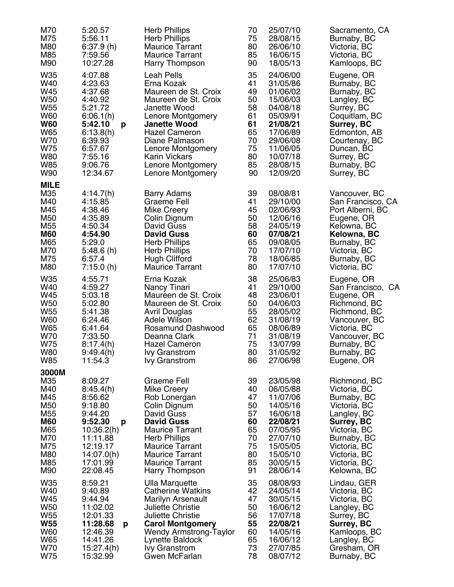| M70<br>M75<br>M80<br>M85<br>M90                                                                                                      | 5:20.57<br>5:56.11<br>6:37.9(h)<br>7:59.56<br>10:27.28                                                                                                | <b>Herb Phillips</b><br><b>Herb Phillips</b><br><b>Maurice Tarrant</b><br><b>Maurice Tarrant</b><br>Harry Thompson                                                                                                                                      | 70<br>75<br>80<br>85<br>90                                                 | 25/07/10<br>28/08/15<br>26/06/10<br>16/06/15<br>18/05/13                                                                                                 | Sacramento, CA<br>Burnaby, BC<br>Victoria, BC<br>Victoria, BC<br>Kamloops, BC                                                                                                                         |
|--------------------------------------------------------------------------------------------------------------------------------------|-------------------------------------------------------------------------------------------------------------------------------------------------------|---------------------------------------------------------------------------------------------------------------------------------------------------------------------------------------------------------------------------------------------------------|----------------------------------------------------------------------------|----------------------------------------------------------------------------------------------------------------------------------------------------------|-------------------------------------------------------------------------------------------------------------------------------------------------------------------------------------------------------|
| W35<br>W40<br>W45<br>W <sub>50</sub><br>W <sub>55</sub><br><b>W60</b><br><b>W60</b><br>W65<br>W70<br>W75<br><b>W80</b><br>W85<br>W90 | 4:07.88<br>4:23.63<br>4:37.68<br>4:40.92<br>5:21.72<br>6:06.1(h)<br>5:42.10<br>p<br>6:13.8(h)<br>6:39.93<br>6:57.67<br>7:55.16<br>9:06.76<br>12:34.67 | Leah Pells<br>Erna Kozak<br>Maureen de St. Croix<br>Maureen de St. Croix<br>Janette Wood<br>Lenore Montgomery<br><b>Janette Wood</b><br>Hazel Cameron<br>Diane Palmason<br>Lenore Montgomery<br>Karin Vickars<br>Lenore Montgomery<br>Lenore Montgomery | 35<br>41<br>49<br>50<br>58<br>61<br>61<br>65<br>70<br>75<br>80<br>85<br>90 | 24/06/00<br>31/05/86<br>01/06/02<br>15/06/03<br>04/08/18<br>05/09/91<br>21/08/21<br>17/06/89<br>29/06/08<br>11/06/05<br>10/07/18<br>28/08/15<br>12/09/20 | Eugene, OR<br>Burnaby, BC<br>Burnaby, BC<br>Langley, BC<br>Surrey, BC<br>Coquitlam, BC<br><b>Surrey, BC</b><br>Edmonton, AB<br>Courtenay, BC<br>Duncan, BC<br>Surrey, BC<br>Burnaby, BC<br>Surrey, BC |
| <b>MILE</b><br>M35<br>M40<br>M45<br>M50<br>M <sub>55</sub><br><b>M60</b><br>M65<br>M70<br>M75<br>M80                                 | 4:14.7(h)<br>4:15.85<br>4:38.46<br>4:35.89<br>4:50.34<br>4:54.90<br>5:29.0<br>5:48.6(h)<br>6:57.4<br>7:15.0(h)                                        | <b>Barry Adams</b><br>Graeme Fell<br>Mike Creery<br>Colin Dignum<br>David Guss<br><b>David Guss</b><br><b>Herb Phillips</b><br><b>Herb Phillips</b><br><b>Hugh Clifford</b><br><b>Maurice Tarrant</b>                                                   | 39<br>41<br>45<br>50<br>58<br>60<br>65<br>70<br>78<br>80                   | 08/08/81<br>29/10/00<br>02/06/93<br>12/06/16<br>24/05/19<br>07/08/21<br>09/08/05<br>17/07/10<br>18/06/85<br>17/07/10                                     | Vancouver, BC<br>San Francisco, CA<br>Port Alberni, BC<br>Eugene, OR<br>Kelowna, BC<br>Kelowna, BC<br>Burnaby, BC<br>Victoria, BC<br>Burnaby, BC<br>Victoria, BC                                      |
| W35<br>W40<br>W45<br><b>W50</b><br>W <sub>55</sub><br><b>W60</b><br>W65<br>W70<br>W75<br>W80<br><b>W85</b>                           | 4:55.71<br>4:59.27<br>5:03.18<br>5:02.80<br>5:41.38<br>6:24.46<br>6:41.64<br>7:33.50<br>8:17.4(h)<br>9:49.4(h)<br>11:54.3                             | Erna Kozak<br>Nancy Tinari<br>Maureen de St. Croix<br>Maureen de St. Croix<br>Avril Douglas<br>Adele Wilson<br>Rosamund Dashwood<br>Deanna Clark<br><b>Hazel Cameron</b><br><b>Ivy Granstrom</b><br>Ivy Granstrom                                       | 38<br>41<br>48<br>50<br>55<br>62<br>65<br>71<br>75<br>80<br>86             | 25/06/83<br>29/10/00<br>23/06/01<br>04/06/03<br>28/05/02<br>31/08/19<br>08/06/89<br>31/08/19<br>13/07/99<br>31/05/92<br>27/06/98                         | Eugene, OR<br>San Francisco, CA<br>Eugene, OR<br>Richmond, BC<br>Richmond, BC<br>Vancouver, BC<br>Victoria, BC<br>Vancouver, BC<br>Burnaby, BC<br>Burnaby, BC<br>Eugene, OR                           |
| 3000M<br>M35<br>M40<br>M45<br>M50<br>M <sub>55</sub><br><b>M60</b><br>M65<br>M70<br>M75<br>M80<br>M85<br>M90                         | 8:09.27<br>8:45.4(h)<br>8:56.62<br>9:18.80<br>9:44.20<br>9:52.30<br>p<br>10:36.2(h)<br>11:11.88<br>12:19.17<br>14:07.0(h)<br>17:01.99<br>22:08.45     | Graeme Fell<br>Mike Creery<br>Rob Lonergan<br>Colin Dignum<br>David Guss<br><b>David Guss</b><br><b>Maurice Tarrant</b><br><b>Herb Phillips</b><br><b>Maurice Tarrant</b><br><b>Maurice Tarrant</b><br><b>Maurice Tarrant</b><br>Harry Thompson         | 39<br>40<br>47<br>50<br>57<br>60<br>65<br>70<br>75<br>80<br>85<br>91       | 23/05/98<br>06/05/88<br>11/07/06<br>14/05/16<br>16/06/18<br>22/08/21<br>07/05/95<br>27/07/10<br>15/05/05<br>15/05/10<br>30/05/15<br>28/06/14             | Richmond, BC<br>Victoria, BC<br>Burnaby, BC<br>Victoria, BC<br>Langley, BC<br><b>Surrey, BC</b><br>Victoria, BC<br>Burnaby, BC<br>Victoria, BC<br>Victoria, BC<br>Victoria, BC<br>Kelowna, BC         |
| W35<br>W40<br>W45<br><b>W50</b><br>W <sub>55</sub><br><b>W55</b><br>W60<br>W65<br>W70<br>W75                                         | 8:59.21<br>9:40.89<br>9:44.94<br>11:02.02<br>12:01.33<br>11:28.68<br>p<br>12:46.39<br>14:41.26<br>15:27.4(h)<br>15:32.99                              | <b>Ulla Marquette</b><br><b>Catherine Watkins</b><br>Marilyn Arsenault<br>Juliette Christie<br><b>Juliette Christie</b><br><b>Carol Montgomery</b><br><b>Wendy Armstrong-Taylor</b><br>Lynette Baldock<br><b>Ivy Granstrom</b><br>Gwen McFarlan         | 35<br>42<br>47<br>50<br>56<br>55<br>60<br>65<br>73<br>78                   | 08/08/93<br>24/05/14<br>30/05/15<br>16/06/12<br>17/07/18<br>22/08/21<br>14/05/16<br>16/06/12<br>27/07/85<br>08/07/12                                     | Lindau, GER<br>Victoria, BC<br>Victoria, BC<br>Langley, BC<br>Surrey, BC<br>Surrey, BC<br>Kamloops, BC<br>Langley, BC<br>Gresham, OR<br>Burnaby, BC                                                   |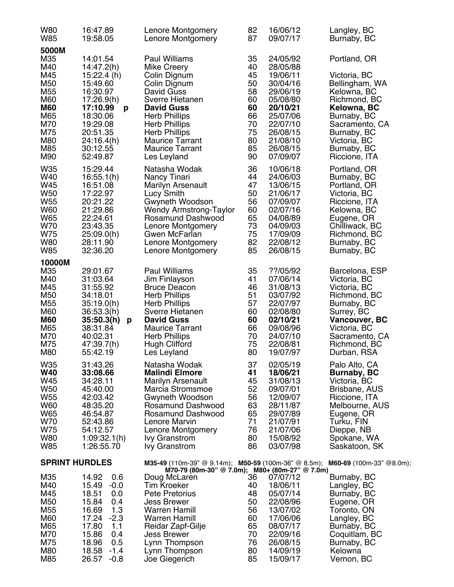| W80                                                                                                | 16:47.89                                                                                                                                                                                 | Lenore Montgomery                                                                                                                                                                                                                                                                                                                  | 82                                                                   | 16/06/12                                                                                                                                     | Langley, BC                                                                                                                                                                               |
|----------------------------------------------------------------------------------------------------|------------------------------------------------------------------------------------------------------------------------------------------------------------------------------------------|------------------------------------------------------------------------------------------------------------------------------------------------------------------------------------------------------------------------------------------------------------------------------------------------------------------------------------|----------------------------------------------------------------------|----------------------------------------------------------------------------------------------------------------------------------------------|-------------------------------------------------------------------------------------------------------------------------------------------------------------------------------------------|
| W85                                                                                                | 19:58.05                                                                                                                                                                                 | Lenore Montgomery                                                                                                                                                                                                                                                                                                                  | 87                                                                   | 09/07/17                                                                                                                                     | Burnaby, BC                                                                                                                                                                               |
| 5000M<br>M35<br>M40<br>M45<br>M50<br>M55<br>M60<br><b>M60</b><br>M65<br>M70<br>M75<br>M80<br>M85   | 14:01.54<br>14:47.2(h)<br>15:22.4(h)<br>15:49.60<br>16:30.97<br>17:26.9(h)<br>17:10.99<br>p<br>18:30.06<br>19:29.08<br>20:51.35<br>24:16.4(h)<br>30:12.55                                | <b>Paul Williams</b><br>Mike Creery<br>Colin Dignum<br>Colin Dignum<br>David Guss<br>Sverre Hietanen<br><b>David Guss</b><br><b>Herb Phillips</b><br><b>Herb Phillips</b><br><b>Herb Phillips</b><br><b>Maurice Tarrant</b><br><b>Maurice Tarrant</b>                                                                              | 35<br>40<br>45<br>50<br>58<br>60<br>60<br>66<br>70<br>75<br>80<br>85 | 24/05/92<br>28/05/88<br>19/06/11<br>30/04/16<br>29/06/19<br>05/08/80<br>20/10/21<br>25/07/06<br>22/07/10<br>26/08/15<br>21/08/10<br>26/08/15 | Portland, OR<br>Victoria, BC<br>Bellingham, WA<br>Kelowna, BC<br>Richmond, BC<br>Kelowna, BC<br>Burnaby, BC<br>Sacramento, CA<br>Burnaby, BC<br>Victoria, BC<br>Burnaby, BC               |
| M90                                                                                                | 52:49.87                                                                                                                                                                                 | Les Leyland                                                                                                                                                                                                                                                                                                                        | 90                                                                   | 07/09/07                                                                                                                                     | Riccione, ITA                                                                                                                                                                             |
| W35                                                                                                | 15:29.44                                                                                                                                                                                 | Natasha Wodak                                                                                                                                                                                                                                                                                                                      | 36                                                                   | 10/06/18                                                                                                                                     | Portland, OR                                                                                                                                                                              |
| W40                                                                                                | 16:55.1(h)                                                                                                                                                                               | Nancy Tinari                                                                                                                                                                                                                                                                                                                       | 44                                                                   | 24/06/03                                                                                                                                     | Burnaby, BC                                                                                                                                                                               |
| W45                                                                                                | 16:51.08                                                                                                                                                                                 | <b>Marilyn Arsenault</b>                                                                                                                                                                                                                                                                                                           | 47                                                                   | 13/06/15                                                                                                                                     | Portland, OR                                                                                                                                                                              |
| W50                                                                                                | 17:22.97                                                                                                                                                                                 | Lucy Smith                                                                                                                                                                                                                                                                                                                         | 50                                                                   | 21/06/17                                                                                                                                     | Victoria, BC                                                                                                                                                                              |
| W <sub>55</sub>                                                                                    | 20:21.22                                                                                                                                                                                 | Gwyneth Woodson                                                                                                                                                                                                                                                                                                                    | 56                                                                   | 07/09/07                                                                                                                                     | Riccione, ITA                                                                                                                                                                             |
| W60                                                                                                | 21:29.86                                                                                                                                                                                 | <b>Wendy Armstrong-Taylor</b>                                                                                                                                                                                                                                                                                                      | 60                                                                   | 02/07/16                                                                                                                                     | Kelowna, BC                                                                                                                                                                               |
| W65                                                                                                | 22:24.61                                                                                                                                                                                 | Rosamund Dashwood                                                                                                                                                                                                                                                                                                                  | 65                                                                   | 04/08/89                                                                                                                                     | Eugene, OR                                                                                                                                                                                |
| W70                                                                                                | 23:43.35                                                                                                                                                                                 | Lenore Montgomery                                                                                                                                                                                                                                                                                                                  | 73                                                                   | 04/09/03                                                                                                                                     | Chilliwack, BC                                                                                                                                                                            |
| W75                                                                                                | 25:09.0(h)                                                                                                                                                                               | Gwen McFarlan                                                                                                                                                                                                                                                                                                                      | 75                                                                   | 17/09/09                                                                                                                                     | Richmond, BC                                                                                                                                                                              |
| <b>W80</b>                                                                                         | 28:11.90                                                                                                                                                                                 | Lenore Montgomery                                                                                                                                                                                                                                                                                                                  | 82                                                                   | 22/08/12                                                                                                                                     | Burnaby, BC                                                                                                                                                                               |
| W85                                                                                                | 32:36.20                                                                                                                                                                                 | Lenore Montgomery                                                                                                                                                                                                                                                                                                                  | 85                                                                   | 26/08/15                                                                                                                                     | Burnaby, BC                                                                                                                                                                               |
| 10000M<br>M35<br>M40<br>M45<br>M50<br>M55<br>M60<br><b>M60</b><br>M65<br>M70<br>M75<br>M80         | 29:01.67<br>31:03.64<br>31:55.92<br>34:18.01<br>35:19.0(h)<br>36:53.3(h)<br>35:50.3(h)<br>p<br>38:31.84<br>40:02.31<br>47:39.7(h)<br>55:42.19                                            | <b>Paul Williams</b><br>Jim Finlayson<br><b>Bruce Deacon</b><br><b>Herb Phillips</b><br><b>Herb Phillips</b><br>Sverre Hietanen<br><b>David Guss</b><br><b>Maurice Tarrant</b><br><b>Herb Phillips</b><br><b>Hugh Clifford</b><br>Les Leyland                                                                                      | 35<br>41<br>46<br>51<br>57<br>60<br>60<br>66<br>70<br>75<br>80       | ??/05/92<br>07/06/14<br>31/08/13<br>03/07/92<br>22/07/97<br>02/08/80<br>02/10/21<br>09/08/96<br>24/07/10<br>22/08/81<br>19/07/97             | Barcelona, ESP<br>Victoria, BC<br>Victoria, BC<br>Richmond, BC<br>Burnaby, BC<br>Surrey, BC<br>Vancouver, BC<br>Victoria, BC<br>Sacramento, CA<br>Richmond, BC<br>Durban, RSA             |
| W35                                                                                                | 31:43.26                                                                                                                                                                                 | Natasha Wodak                                                                                                                                                                                                                                                                                                                      | 37                                                                   | 02/05/19                                                                                                                                     | Palo Alto, CA                                                                                                                                                                             |
| <b>W40</b>                                                                                         | 33:08.66                                                                                                                                                                                 | <b>Malindi Elmore</b>                                                                                                                                                                                                                                                                                                              | 41                                                                   | 18/06/21                                                                                                                                     | <b>Burnaby, BC</b>                                                                                                                                                                        |
| W45                                                                                                | 34:28.11                                                                                                                                                                                 | Marilyn Arsenault                                                                                                                                                                                                                                                                                                                  | 45                                                                   | 31/08/13                                                                                                                                     | Victoria, BC                                                                                                                                                                              |
| W <sub>50</sub>                                                                                    | 45:40.00                                                                                                                                                                                 | Marcia Stromsmoe                                                                                                                                                                                                                                                                                                                   | 52                                                                   | 09/07/01                                                                                                                                     | Brisbane, AUS                                                                                                                                                                             |
| W55                                                                                                | 42:03.42                                                                                                                                                                                 | Gwyneth Woodson                                                                                                                                                                                                                                                                                                                    | 56                                                                   | 12/09/07                                                                                                                                     | Riccione, ITA                                                                                                                                                                             |
| W60                                                                                                | 48:35.20                                                                                                                                                                                 | Rosamund Dashwood                                                                                                                                                                                                                                                                                                                  | 63                                                                   | 28/11/87                                                                                                                                     | Melbourne, AUS                                                                                                                                                                            |
| W65                                                                                                | 46:54.87                                                                                                                                                                                 | Rosamund Dashwood                                                                                                                                                                                                                                                                                                                  | 65                                                                   | 29/07/89                                                                                                                                     | Eugene, OR                                                                                                                                                                                |
| W70                                                                                                | 52:43.86                                                                                                                                                                                 | Lenore Marvin                                                                                                                                                                                                                                                                                                                      | 71                                                                   | 21/07/91                                                                                                                                     | Turku, FIN                                                                                                                                                                                |
| W75                                                                                                | 54:12.57                                                                                                                                                                                 | Lenore Montgomery                                                                                                                                                                                                                                                                                                                  | 76                                                                   | 21/07/06                                                                                                                                     | Dieppe, NB                                                                                                                                                                                |
| W80                                                                                                | 1:09:32.1(h)                                                                                                                                                                             | <b>Ivy Granstrom</b>                                                                                                                                                                                                                                                                                                               | 80                                                                   | 15/08/92                                                                                                                                     | Spokane, WA                                                                                                                                                                               |
| W85                                                                                                | 1:26:55.70                                                                                                                                                                               | <b>Ivy Granstrom</b>                                                                                                                                                                                                                                                                                                               | 86                                                                   | 03/07/98                                                                                                                                     | Saskatoon, SK                                                                                                                                                                             |
| <b>SPRINT HURDLES</b><br>M35<br>M40<br>M45<br>M50<br>M55<br>M60<br>M65<br>M70<br>M75<br>M80<br>M85 | 14.92<br>0.6<br>15.49<br>$-0.0$<br>18.51<br>0.0<br>15.84<br>0.4<br>1.3<br>16.69<br>17.24<br>$-2.3$<br>17.80<br>1.1<br>15.86<br>0.4<br>0.5<br>18.96<br>$-1.4$<br>18.58<br>26.57<br>$-0.8$ | M35-49 (110m-39" @ 9.14m); M50-59 (100m-36" @ 8.5m);<br>M70-79 (80m-30" @ 7.0m); M80+ (80m-27" @ 7.0m)<br>Doug McLaren<br><b>Tim Kroeker</b><br>Pete Pretorius<br><b>Jess Brewer</b><br><b>Warren Hamill</b><br><b>Warren Hamill</b><br>Reidar Zapf-Gilje<br><b>Jess Brewer</b><br>Lynn Thompson<br>Lynn Thompson<br>Joe Giegerich | 36<br>40<br>48<br>50<br>56<br>60<br>65<br>70<br>76<br>80<br>85       | 07/07/12<br>18/06/11<br>05/07/14<br>22/08/96<br>13/07/02<br>17/06/06<br>08/07/17<br>22/09/16<br>26/08/15<br>14/09/19<br>15/09/17             | M60-69 (100m-33" @8.0m);<br>Burnaby, BC<br>Langley, BC<br>Burnaby, BC<br>Eugene, OR<br>Toronto, ON<br>Langley, BC<br>Burnaby, BC<br>Coquitlam, BC<br>Burnaby, BC<br>Kelowna<br>Vernon, BC |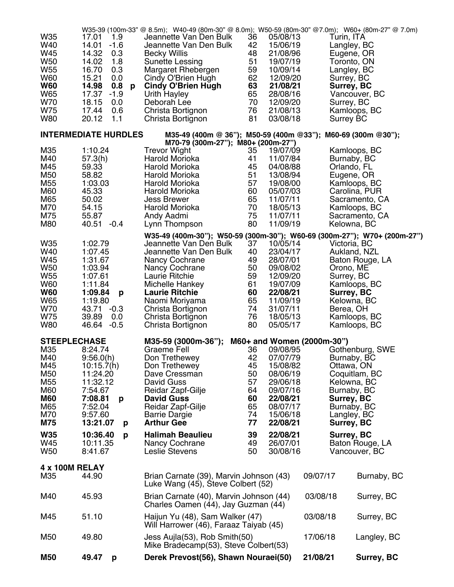| W35                        | 17.01                       | W35-39 (100m-33" @ 8.5m); W40-49 (80m-30" @ 8.0m); W50-59 (80m-30" @7.0m); W60+ (80m-27" @ 7.0m)<br>Jeannette Van Den Bulk | 36       | 05/08/13             |                            |                 |
|----------------------------|-----------------------------|----------------------------------------------------------------------------------------------------------------------------|----------|----------------------|----------------------------|-----------------|
| W40                        | 1.9<br>$-1.6$<br>14.01      | Jeannette Van Den Bulk                                                                                                     | 42       | 15/06/19             | Turin, ITA<br>Langley, BC  |                 |
| W45                        | 14.32<br>0.3                | <b>Becky Willis</b>                                                                                                        | 48       | 21/08/96             | Eugene, OR                 |                 |
| W <sub>50</sub>            | 14.02<br>1.8                | Sunette Lessing                                                                                                            | 51       | 19/07/19             | Toronto, ON                |                 |
| W <sub>55</sub>            | 16.70<br>0.3                | Margaret Rhebergen                                                                                                         | 59       | 10/09/14             | Langley, BC                |                 |
| W60                        | 15.21<br>0.0                | Cindy O'Brien Hugh                                                                                                         | 62       | 12/09/20             | Surrey, BC                 |                 |
| <b>W60</b>                 | 0.8<br>14.98<br>p           | <b>Cindy O'Brien Hugh</b>                                                                                                  | 63       | 21/08/21             | Surrey, BC                 |                 |
| W65                        | 17.37<br>$-1.9$             | Urith Hayley                                                                                                               | 65       | 28/08/16             |                            | Vancouver, BC   |
| W70                        | 18.15<br>0.0                | Deborah Lee                                                                                                                | 70       | 12/09/20             | Surrey, BC                 |                 |
| W75                        | 0.6<br>17.44                | Christa Bortignon                                                                                                          | 76       | 21/08/13             |                            | Kamloops, BC    |
| <b>W80</b>                 | 20.12<br>1.1                | Christa Bortignon                                                                                                          | 81       | 03/08/18             | <b>Surrey BC</b>           |                 |
|                            | <b>INTERMEDIATE HURDLES</b> | M35-49 (400m @ 36"); M50-59 (400m @33"); M60-69 (300m @30");                                                               |          |                      |                            |                 |
|                            |                             | M70-79 (300m-27"); M80+ (200m-27")                                                                                         |          |                      |                            |                 |
| M35                        | 1:10.24                     | <b>Trevor Wight</b>                                                                                                        | 35       | 19/07/09             |                            | Kamloops, BC    |
| M40                        | 57.3(h)                     | Harold Morioka                                                                                                             | 41       | 11/07/84             | Burnaby, BC                |                 |
| M45                        | 59.33                       | Harold Morioka                                                                                                             | 45       | 04/08/88             | Orlando, FL                |                 |
| M50                        | 58.82                       | Harold Morioka                                                                                                             | 51       | 13/08/94             | Eugene, OR                 |                 |
| M <sub>55</sub>            | 1:03.03                     | Harold Morioka                                                                                                             | 57       | 19/08/00             |                            | Kamloops, BC    |
| M60                        | 45.33                       | Harold Morioka                                                                                                             | 60       | 05/07/03             |                            | Carolina, PUR   |
| M65                        | 50.02                       | <b>Jess Brewer</b>                                                                                                         | 65       | 11/07/11             |                            | Sacramento, CA  |
| M70                        | 54.15                       | Harold Morioka                                                                                                             | 70       | 18/05/13             |                            | Kamloops, BC    |
| M75                        | 55.87                       | Andy Aadmi                                                                                                                 | 75       | 11/07/11             |                            | Sacramento, CA  |
| M80                        | 40.51 -0.4                  | Lynn Thompson                                                                                                              | 80       | 11/09/19             | Kelowna, BC                |                 |
|                            |                             | W35-49 (400m-30"); W50-59 (300m-30"); W60-69 (300m-27"); W70+ (200m-27")                                                   |          |                      |                            |                 |
| W35                        | 1:02.79                     | Jeannette Van Den Bulk                                                                                                     | 37       | 10/05/14             | Victoria, BC               |                 |
| W40                        | 1:07.45                     | Jeannette Van Den Bulk                                                                                                     | 40       | 23/04/17             |                            | Aukland, NZL    |
| W45                        | 1:31.67                     | Nancy Cochrane                                                                                                             | 49       | 28/07/01             |                            | Baton Rouge, LA |
| <b>W50</b><br>W55          | 1:03.94<br>1:07.61          | <b>Nancy Cochrane</b><br>Laurie Ritchie                                                                                    | 50<br>59 | 09/08/02<br>12/09/20 | Orono, ME                  |                 |
| <b>W60</b>                 | 1:11.84                     | Michelle Hankey                                                                                                            | 61       | 19/07/09             | Surrey, BC                 | Kamloops, BC    |
| <b>W60</b>                 | 1:09.84<br>p                | <b>Laurie Ritchie</b>                                                                                                      | 60       | 22/08/21             | Surrey, BC                 |                 |
| W65                        | 1:19.80                     | Naomi Moriyama                                                                                                             | 65       | 11/09/19             | Kelowna, BC                |                 |
| W70                        | 43.71 -0.3                  | Christa Bortignon                                                                                                          | 74       | 31/07/11             | Berea, OH                  |                 |
| W75                        | 39.89<br>0.0                | Christa Bortignon                                                                                                          | 76       | 18/05/13             |                            | Kamloops, BC    |
| <b>W80</b>                 | 46.64 -0.5                  | Christa Bortignon                                                                                                          | 80       | 05/05/17             |                            | Kamloops, BC    |
|                            |                             |                                                                                                                            |          |                      |                            |                 |
| <b>STEEPLECHASE</b><br>M35 | 8:24.74                     | M35-59 (3000m-36");<br><b>Graeme Fell</b>                                                                                  | 36       | 09/08/95             | M60+ and Women (2000m-30") | Gothenburg, SWE |
| M40                        | 9:56.0(h)                   | Don Trethewey                                                                                                              | 42       | 07/07/79             |                            |                 |
| M45                        | 10:15.7(h)                  | Don Trethewey                                                                                                              | 45       | 15/08/82             | Burnaby, BC<br>Ottawa, ON  |                 |
| M50                        | 11:24.20                    | Dave Cressman                                                                                                              | 50       | 08/06/19             |                            | Coquitlam, BC   |
| M <sub>55</sub>            | 11:32.12                    | David Guss                                                                                                                 | 57       | 29/06/18             | Kelowna, BC                |                 |
| M60                        | 7:54.67                     | Reidar Zapf-Gilje                                                                                                          | 64       | 09/07/16             | Burnaby, BC                |                 |
| <b>M60</b>                 | 7:08.81<br>p                | <b>David Guss</b>                                                                                                          | 60       | 22/08/21             | Surrey, BC                 |                 |
| M65                        | 7:52.04                     | Reidar Zapf-Gilje                                                                                                          | 65       | 08/07/17             | Burnaby, BC                |                 |
| M70                        | 9:57.60                     | <b>Barrie Dargie</b>                                                                                                       | 74       | 15/06/18             | Langley, BC                |                 |
| <b>M75</b>                 | 13:21.07<br>p               | <b>Arthur Gee</b>                                                                                                          | 77       | 22/08/21             | Surrey, BC                 |                 |
| <b>W35</b>                 | 10:36.40<br>p               | <b>Halimah Beaulieu</b>                                                                                                    | 39       | 22/08/21             | Surrey, BC                 |                 |
| W45                        | 10:11.35                    | <b>Nancy Cochrane</b>                                                                                                      | 49       | 26/07/01             |                            | Baton Rouge, LA |
| W <sub>50</sub>            | 8:41.67                     | Leslie Stevens                                                                                                             | 50       | 30/08/16             |                            | Vancouver, BC   |
|                            |                             |                                                                                                                            |          |                      |                            |                 |
| 4 x 100M RELAY<br>M35      | 44.90                       |                                                                                                                            |          |                      | 09/07/17                   |                 |
|                            |                             | Brian Carnate (39), Marvin Johnson (43)<br>Luke Wang (45), Steve Colbert (52)                                              |          |                      |                            | Burnaby, BC     |
|                            |                             |                                                                                                                            |          |                      |                            |                 |
| M40                        | 45.93                       | Brian Carnate (40), Marvin Johnson (44)<br>Charles Oamen (44), Jay Guzman (44)                                             |          |                      | 03/08/18                   | Surrey, BC      |
|                            |                             |                                                                                                                            |          |                      |                            |                 |
| M45                        | 51.10                       | Haijun Yu (48), Sam Walker (47)                                                                                            |          |                      | 03/08/18                   | Surrey, BC      |
|                            |                             | Will Harrower (46), Faraaz Taiyab (45)                                                                                     |          |                      |                            |                 |
| M50                        | 49.80                       | Jess Aujla(53), Rob Smith(50)<br>Mike Bradecamp(53), Steve Colbert(53)                                                     |          |                      | 17/06/18                   | Langley, BC     |
|                            |                             |                                                                                                                            |          |                      |                            |                 |
| <b>M50</b>                 | 49.47<br>p                  | Derek Prevost(56), Shawn Nouraei(50)                                                                                       |          |                      | 21/08/21                   | Surrey, BC      |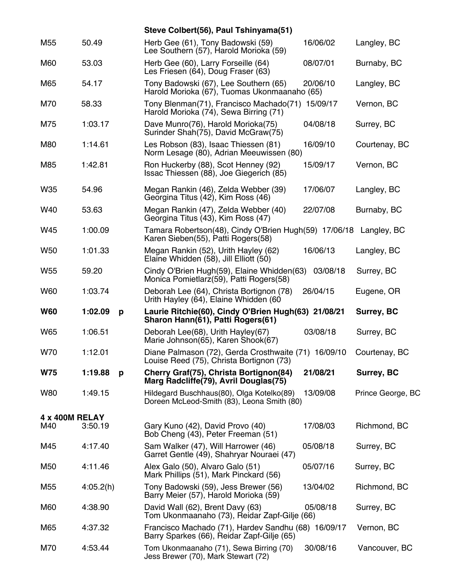|                       |              | Steve Colbert(56), Paul Tshinyama(51)                                                                   |          |                   |
|-----------------------|--------------|---------------------------------------------------------------------------------------------------------|----------|-------------------|
| M <sub>55</sub>       | 50.49        | Herb Gee (61), Tony Badowski (59)<br>Lee Southern (57), Harold Morioka (59)                             | 16/06/02 | Langley, BC       |
| M60                   | 53.03        | Herb Gee (60), Larry Forseille (64)<br>Les Friesen (64), Doug Fraser (63)                               | 08/07/01 | Burnaby, BC       |
| M65                   | 54.17        | Tony Badowski (67), Lee Southern (65)<br>Harold Morioka (67), Tuomas Ukonmaanaho (65)                   | 20/06/10 | Langley, BC       |
| M70                   | 58.33        | Tony Blenman(71), Francisco Machado(71) 15/09/17<br>Harold Morioka (74), Sewa Birring (71)              |          | Vernon, BC        |
| M75                   | 1:03.17      | Dave Munro(76), Harold Morioka(75)<br>Surinder Shah(75), David McGraw(75)                               | 04/08/18 | Surrey, BC        |
| M80                   | 1:14.61      | Les Robson (83), Isaac Thiessen (81)<br>Norm Lesage (80), Adrian Meeuwissen (80)                        | 16/09/10 | Courtenay, BC     |
| M85                   | 1:42.81      | Ron Huckerby (88), Scot Henney (92)<br>Issac Thiessen (88), Joe Giegerich (85)                          | 15/09/17 | Vernon, BC        |
| W35                   | 54.96        | Megan Rankin (46), Zelda Webber (39)<br>Georgina Titus (42), Kim Ross (46)                              | 17/06/07 | Langley, BC       |
| W40                   | 53.63        | Megan Rankin (47), Zelda Webber (40)<br>Georgina Titus (43), Kim Ross (47)                              | 22/07/08 | Burnaby, BC       |
| W45                   | 1:00.09      | Tamara Robertson(48), Cindy O'Brien Hugh(59) 17/06/18 Langley, BC<br>Karen Sieben(55), Patti Rogers(58) |          |                   |
| W <sub>50</sub>       | 1:01.33      | Megan Rankin (52), Urith Hayley (62)<br>Elaine Whidden (58), Jill Elliott (50)                          | 16/06/13 | Langley, BC       |
| W <sub>55</sub>       | 59.20        | Cindy O'Brien Hugh(59), Elaine Whidden(63)<br>Monica Pomietlarz(59), Patti Rogers(58)                   | 03/08/18 | Surrey, BC        |
| <b>W60</b>            | 1:03.74      | Deborah Lee (64), Christa Bortignon (78)<br>Urith Hayley (64), Elaine Whidden (60                       | 26/04/15 | Eugene, OR        |
| <b>W60</b>            | 1:02.09<br>p | Laurie Ritchie(60), Cindy O'Brien Hugh(63) 21/08/21<br>Sharon Hann(61), Patti Rogers(61)                |          | Surrey, BC        |
| W65                   | 1:06.51      | Deborah Lee(68), Urith Hayley(67)<br>Marie Johnson(65), Karen Shook(67)                                 | 03/08/18 | Surrey, BC        |
| W70                   | 1:12.01      | Diane Palmason (72), Gerda Crosthwaite (71) 16/09/10<br>Louise Reed (75), Christa Bortignon (73)        |          | Courtenay, BC     |
| <b>W75</b>            | 1:19.88<br>p | Cherry Graf(75), Christa Bortignon(84)<br>Marg Radcliffe(79), Avril Douglas(75)                         | 21/08/21 | Surrey, BC        |
| <b>W80</b>            | 1:49.15      | Hildegard Buschhaus(80), Olga Kotelko(89)<br>Doreen McLeod-Smith (83), Leona Smith (80)                 | 13/09/08 | Prince George, BC |
| <b>4 x 400M RELAY</b> |              |                                                                                                         |          |                   |
| M40                   | 3:50.19      | Gary Kuno (42), David Provo (40)<br>Bob Cheng (43), Peter Freeman (51)                                  | 17/08/03 | Richmond, BC      |
| M45                   | 4:17.40      | Sam Walker (47), Will Harrower (46)<br>Garret Gentle (49), Shahryar Nouraei (47)                        | 05/08/18 | Surrey, BC        |
| M50                   | 4:11.46      | Alex Galo (50), Alvaro Galo (51)<br>Mark Phillips (51), Mark Pinckard (56)                              | 05/07/16 | Surrey, BC        |
| M <sub>55</sub>       | 4:05.2(h)    | Tony Badowski (59), Jess Brewer (56)<br>Barry Meier (57), Harold Morioka (59)                           | 13/04/02 | Richmond, BC      |
| M60                   | 4:38.90      | David Wall (62), Brent Davy (63)<br>Tom Ukonmaanaho (73), Reidar Zapf-Gilje (66)                        | 05/08/18 | Surrey, BC        |
| M65                   | 4:37.32      | Francisco Machado (71), Hardev Sandhu (68) 16/09/17<br>Barry Sparkes (66), Reidar Zapf-Gilje (65)       |          | Vernon, BC        |
| M70                   | 4:53.44      | Tom Ukonmaanaho (71), Sewa Birring (70)<br>Jess Brewer (70), Mark Stewart (72)                          | 30/08/16 | Vancouver, BC     |
|                       |              |                                                                                                         |          |                   |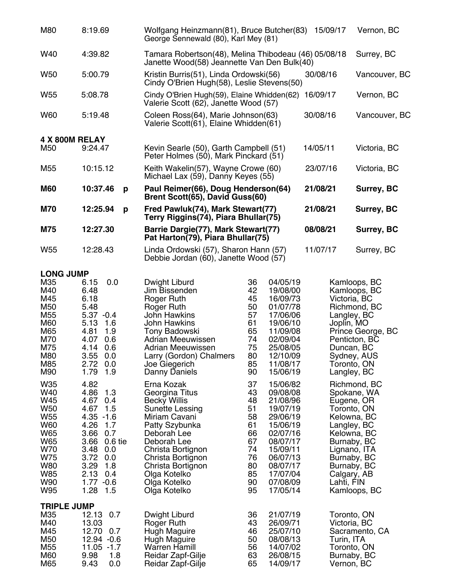| M80                                                                                                               | 8:19.69                                                                                                                                                                                     | Wolfgang Heinzmann(81), Bruce Butcher(83)<br>George Sennewald (80), Karl Mey (81)                                                                                                                                                                      |                                                                                                                                                                                                                                                          | 15/09/17                                                               | Vernon, BC                                                                                                                                                                         |
|-------------------------------------------------------------------------------------------------------------------|---------------------------------------------------------------------------------------------------------------------------------------------------------------------------------------------|--------------------------------------------------------------------------------------------------------------------------------------------------------------------------------------------------------------------------------------------------------|----------------------------------------------------------------------------------------------------------------------------------------------------------------------------------------------------------------------------------------------------------|------------------------------------------------------------------------|------------------------------------------------------------------------------------------------------------------------------------------------------------------------------------|
| W40                                                                                                               | 4:39.82                                                                                                                                                                                     | Tamara Robertson(48), Melina Thibodeau (46) 05/08/18<br>Janette Wood(58) Jeannette Van Den Bulk(40)                                                                                                                                                    |                                                                                                                                                                                                                                                          |                                                                        | Surrey, BC                                                                                                                                                                         |
| W <sub>50</sub>                                                                                                   | 5:00.79                                                                                                                                                                                     | Kristin Burris(51), Linda Ordowski(56)<br>Cindy O'Brien Hugh(58), Leslie Stevens(50)                                                                                                                                                                   |                                                                                                                                                                                                                                                          | 30/08/16                                                               | Vancouver, BC                                                                                                                                                                      |
| W <sub>55</sub>                                                                                                   | 5:08.78                                                                                                                                                                                     | Cindy O'Brien Hugh(59), Elaine Whidden(62)<br>Valerie Scott (62), Janette Wood (57)                                                                                                                                                                    |                                                                                                                                                                                                                                                          | 16/09/17                                                               | Vernon, BC                                                                                                                                                                         |
| W60                                                                                                               | 5:19.48                                                                                                                                                                                     | Coleen Ross(64), Marie Johnson(63)<br>Valerie Scott(61), Elaine Whidden(61)                                                                                                                                                                            |                                                                                                                                                                                                                                                          | 30/08/16                                                               | Vancouver, BC                                                                                                                                                                      |
| 4 X 800M RELAY                                                                                                    |                                                                                                                                                                                             |                                                                                                                                                                                                                                                        |                                                                                                                                                                                                                                                          |                                                                        |                                                                                                                                                                                    |
| M <sub>50</sub>                                                                                                   | 9:24.47                                                                                                                                                                                     | Kevin Searle (50), Garth Campbell (51)<br>Peter Holmes (50), Mark Pinckard (51)                                                                                                                                                                        |                                                                                                                                                                                                                                                          | 14/05/11                                                               | Victoria, BC                                                                                                                                                                       |
| M <sub>55</sub>                                                                                                   | 10:15.12                                                                                                                                                                                    | Keith Wakelin(57), Wayne Crowe (60)<br>Michael Lax (59), Danny Keyes (55)                                                                                                                                                                              |                                                                                                                                                                                                                                                          | 23/07/16                                                               | Victoria, BC                                                                                                                                                                       |
| <b>M60</b>                                                                                                        | 10:37.46<br>p                                                                                                                                                                               | Paul Reimer(66), Doug Henderson(64)<br>Brent Scott(65), David Guss(60)                                                                                                                                                                                 |                                                                                                                                                                                                                                                          | 21/08/21                                                               | Surrey, BC                                                                                                                                                                         |
| <b>M70</b>                                                                                                        | 12:25.94<br>p                                                                                                                                                                               | Fred Pawluk(74), Mark Stewart(77)<br>Terry Riggins(74), Piara Bhullar(75)                                                                                                                                                                              |                                                                                                                                                                                                                                                          | 21/08/21                                                               | Surrey, BC                                                                                                                                                                         |
| <b>M75</b>                                                                                                        | 12:27.30                                                                                                                                                                                    | Barrie Dargie(77), Mark Stewart(77)<br>Pat Harton(79), Piara Bhullar(75)                                                                                                                                                                               |                                                                                                                                                                                                                                                          | 08/08/21                                                               | Surrey, BC                                                                                                                                                                         |
| W <sub>55</sub>                                                                                                   | 12:28.43                                                                                                                                                                                    | Linda Ordowski (57), Sharon Hann (57)<br>Debbie Jordan (60), Janette Wood (57)                                                                                                                                                                         |                                                                                                                                                                                                                                                          | 11/07/17                                                               | Surrey, BC                                                                                                                                                                         |
| <b>LONG JUMP</b>                                                                                                  |                                                                                                                                                                                             |                                                                                                                                                                                                                                                        |                                                                                                                                                                                                                                                          |                                                                        |                                                                                                                                                                                    |
| M35<br>M40<br>M45<br>M50<br>M <sub>55</sub><br>M60<br>M65<br>M70<br>M75<br>M80<br>M85<br>M90                      | 0.0<br>6.15<br>6.48<br>6.18<br>5.48<br>$5.37 - 0.4$<br>5.13<br>1.6<br>4.81<br>1.9<br>4.07<br>0.6<br>4.14<br>0.6<br>3.55 0.0<br>2.72 0.0<br>1.79<br>1.9                                      | Dwight Liburd<br>Jim Bissenden<br><b>Roger Ruth</b><br>Roger Ruth<br><b>John Hawkins</b><br><b>John Hawkins</b><br>Tony Badowski<br>Adrian Meeuwissen<br><b>Adrian Meeuwissen</b><br>Larry (Gordon) Chalmers<br>Joe Giegerich<br>Danny Daniels         | 04/05/19<br>36<br>42<br>19/08/00<br>45<br>16/09/73<br>50<br>01/07/78<br>57<br>17/06/06<br>61<br>19/06/10<br>65<br>11/09/08<br>74<br>02/09/04<br>75<br>25/08/05<br>80<br>12/10/09<br>85<br>11/08/17<br>90<br>15/06/19                                     | Victoria, BC<br>Langley, BC<br>Joplin, MO<br>Duncan, BC<br>Langley, BC | Kamloops, BC<br>Kamloops, BC<br>Richmond, BC<br>Prince George, BC<br>Penticton, BC<br>Sydney, AUS<br>Toronto, ON                                                                   |
| W35<br>W40<br>W45<br>W50<br>W <sub>55</sub><br>W60<br>W65<br>W65<br>W70<br>W75<br><b>W80</b><br>W85<br>W90<br>W95 | 4.82<br>4.86 1.3<br>4.67 0.4<br>4.67 1.5<br>$4.35 - 1.6$<br>4.26<br>1.7<br>3.66<br>0.7<br>3.66 0.6 tie<br>3.48 0.0<br>3.72 0.0<br>3.29<br>1.8<br>2.13<br>0.4<br>$1.77 - 0.6$<br>1.28<br>1.5 | Erna Kozak<br>Georgina Titus<br><b>Becky Willis</b><br>Sunette Lessing<br>Miriam Cavani<br>Patty Szybunka<br>Deborah Lee<br>Deborah Lee<br>Christa Bortignon<br>Christa Bortignon<br>Christa Bortignon<br>Olga Kotelko<br>Olga Kotelko<br>Olga Kotelko | 37<br>15/06/82<br>43<br>09/08/08<br>48<br>21/08/96<br>51<br>19/07/19<br>58<br>29/06/19<br>61<br>15/06/19<br>66<br>02/07/16<br>67<br>08/07/17<br>74<br>15/09/11<br>76<br>06/07/13<br>80<br>08/07/17<br>85<br>17/07/04<br>90<br>07/08/09<br>95<br>17/05/14 | Calgary, AB<br>Lahti, FIN                                              | Richmond, BC<br>Spokane, WA<br>Eugene, OR<br>Toronto, ON<br>Kelowna, BC<br>Langley, BC<br>Kelowna, BC<br>Burnaby, BC<br>Lignano, ITA<br>Burnaby, BC<br>Burnaby, BC<br>Kamloops, BC |
| <b>TRIPLE JUMP</b><br>M35<br>M40<br>M45<br>M50<br>M55<br>M60<br>M65                                               | 12.13<br>0.7<br>13.03<br>12.70<br>0.7<br>12.94 -0.6<br>$11.05 - 1.7$<br>1.8<br>9.98<br>9.43<br>0.0                                                                                          | Dwight Liburd<br>Roger Ruth<br>Hugh Maguire<br>Hugh Maguire<br><b>Warren Hamill</b><br>Reidar Zapf-Gilje<br>Reidar Zapf-Gilje                                                                                                                          | 36<br>21/07/19<br>43<br>26/09/71<br>46<br>25/07/10<br>50<br>08/08/13<br>56<br>14/07/02<br>63<br>26/08/15<br>65<br>14/09/17                                                                                                                               | Toronto, ON<br>Victoria, BC<br>Turin, ITA<br>Toronto, ON<br>Vernon, BC | Sacramento, CA<br>Burnaby, BC                                                                                                                                                      |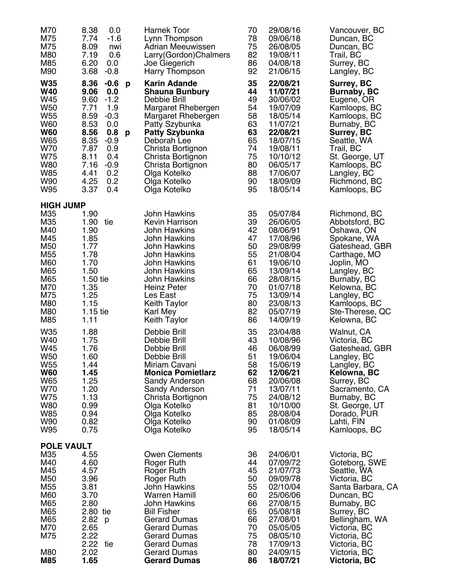| M70<br>M75<br>M75<br>M80<br>M85<br>M90                                                                                                               | 0.0<br>8.38<br>7.74<br>$-1.6$<br>8.09<br>nwi<br>0.6<br>7.19<br>6.20<br>0.0<br>$-0.8$<br>3.68                                                                                                                                            | <b>Harnek Toor</b><br>Lynn Thompson<br>Adrian Meeuwissen<br>Larry(Gordon)Chalmers<br>Joe Giegerich<br>Harry Thompson                                                                                                                                                                          | 70<br>78<br>75<br>82<br>86<br>92                                                 | 29/08/16<br>09/06/18<br>26/08/05<br>19/08/11<br>04/08/18<br>21/06/15                                                                                                 | Vancouver, BC<br>Duncan, BC<br>Duncan, BC<br>Trail, BC<br>Surrey, BC<br>Langley, BC                                                                                                                                            |
|------------------------------------------------------------------------------------------------------------------------------------------------------|-----------------------------------------------------------------------------------------------------------------------------------------------------------------------------------------------------------------------------------------|-----------------------------------------------------------------------------------------------------------------------------------------------------------------------------------------------------------------------------------------------------------------------------------------------|----------------------------------------------------------------------------------|----------------------------------------------------------------------------------------------------------------------------------------------------------------------|--------------------------------------------------------------------------------------------------------------------------------------------------------------------------------------------------------------------------------|
| <b>W35</b><br><b>W40</b><br>W45<br><b>W50</b><br>W <sub>55</sub><br><b>W60</b><br><b>W60</b><br>W65<br>W70<br>W75<br><b>W80</b><br>W85<br>W90<br>W95 | 8.36<br>$-0.6$<br>p<br>9.06<br>0.0<br>9.60<br>$-1.2$<br>7.71<br>1.9<br>$-0.3$<br>8.59<br>8.53<br>0.0<br>0.8<br>8.56<br>p<br>8.35<br>$-0.9$<br>7.87<br>0.9<br>8.11<br>0.4<br>7.16<br>$-0.9$<br>0.2<br>4.41<br>4.25<br>0.2<br>3.37<br>0.4 | <b>Karin Adande</b><br><b>Shauna Bunbury</b><br>Debbie Brill<br>Margaret Rhebergen<br>Margaret Rhebergen<br>Patty Szybunka<br><b>Patty Szybunka</b><br>Deborah Lee<br>Christa Bortignon<br>Christa Bortignon<br>Christa Bortignon<br>Olga Kotelko<br>Olga Kotelko<br>Olga Kotelko             | 35<br>44<br>49<br>54<br>58<br>63<br>63<br>65<br>74<br>75<br>80<br>88<br>90<br>95 | 22/08/21<br>11/07/21<br>30/06/02<br>19/07/09<br>18/05/14<br>11/07/21<br>22/08/21<br>18/07/15<br>19/08/11<br>10/10/12<br>06/05/17<br>17/06/07<br>18/09/09<br>18/05/14 | Surrey, BC<br><b>Burnaby, BC</b><br>Eugene, OR<br>Kamloops, BC<br>Kamloops, BC<br>Burnaby, BC<br>Surrey, BC<br>Seattle, WA<br>Trail, BC<br>St. George, UT<br>Kamloops, BC<br>Langley, BC<br>Richmond, BC<br>Kamloops, BC       |
| <b>HIGH JUMP</b><br>M35                                                                                                                              | 1.90                                                                                                                                                                                                                                    | John Hawkins                                                                                                                                                                                                                                                                                  | 35                                                                               | 05/07/84                                                                                                                                                             | Richmond, BC                                                                                                                                                                                                                   |
| M35<br>M40<br>M45<br>M50<br>M55<br>M60<br>M65<br>M65<br>M70<br>M75<br>M80<br>M80<br>M85                                                              | 1.90 tie<br>1.90<br>1.85<br>1.77<br>1.78<br>1.70<br>1.50<br>1.50 tie<br>1.35<br>1.25<br>1.15<br>$1.15$ tie<br>1.11                                                                                                                      | Kevin Harrison<br><b>John Hawkins</b><br>John Hawkins<br><b>John Hawkins</b><br>John Hawkins<br>John Hawkins<br><b>John Hawkins</b><br>John Hawkins<br><b>Heinz Peter</b><br>Les East<br>Keith Taylor<br>Karl Mey<br><b>Keith Taylor</b>                                                      | 39<br>42<br>47<br>50<br>55<br>61<br>65<br>66<br>70<br>75<br>80<br>82<br>86       | 26/06/05<br>08/06/91<br>17/08/96<br>29/08/99<br>21/08/04<br>19/06/10<br>13/09/14<br>28/08/15<br>01/07/18<br>13/09/14<br>23/08/13<br>05/07/19<br>14/09/19             | Abbotsford, BC<br>Oshawa, ON<br>Spokane, WA<br>Gateshead, GBR<br>Carthage, MO<br>Joplin, MO<br>Langley, BC<br>Burnaby, BC<br>Kelowna, BC<br>Langley, BC<br>Kamloops, BC<br>Ste-Therese, QC<br>Kelowna, BC                      |
| W35<br>W40<br>W45<br>W50<br>W <sub>55</sub><br><b>W60</b><br>W65<br>W70<br>W75<br><b>W80</b><br><b>W85</b><br>W90<br>W95                             | 1.88<br>1.75<br>1.76<br>1.60<br>1.44<br>1.45<br>1.25<br>1.20<br>1.13<br>0.99<br>0.94<br>0.82<br>0.75                                                                                                                                    | Debbie Brill<br>Debbie Brill<br>Debbie Brill<br>Debbie Brill<br>Miriam Cavani<br><b>Monica Pomietlarz</b><br>Sandy Anderson<br>Sandy Anderson<br>Christa Bortignon<br>Olga Kotelko<br>Olga Kotelko<br>Olga Kotelko<br>Olga Kotelko                                                            | 35<br>43<br>46<br>51<br>58<br>62<br>68<br>71<br>75<br>81<br>85<br>90<br>95       | 23/04/88<br>10/08/96<br>06/08/99<br>19/06/04<br>15/06/19<br>12/06/21<br>20/06/08<br>13/07/11<br>24/08/12<br>10/10/00<br>28/08/04<br>01/08/09<br>18/05/14             | Walnut, CA<br>Victoria, BC<br>Gateshead, GBR<br>Langley, BC<br>Langley, BC<br>Kelowna, BC<br>Surrey, BC<br>Sacramento, CA<br>Burnaby, BC<br>St. George, UT<br>Dorado, PUR<br>Lahti, FIN<br>Kamloops, BC                        |
| <b>POLE VAULT</b>                                                                                                                                    |                                                                                                                                                                                                                                         |                                                                                                                                                                                                                                                                                               |                                                                                  |                                                                                                                                                                      |                                                                                                                                                                                                                                |
| M35<br>M40<br>M45<br>M50<br>M <sub>55</sub><br>M60<br>M65<br>M65<br>M65<br>M70<br>M75<br>M80<br>M85                                                  | 4.55<br>4.60<br>4.57<br>3.96<br>3.81<br>3.70<br>2.80<br>2.80 tie<br>2.82<br>p<br>2.65<br>2.22<br>2.22 tie<br>2.02<br>1.65                                                                                                               | <b>Owen Clements</b><br>Roger Ruth<br>Roger Ruth<br>Roger Ruth<br>John Hawkins<br><b>Warren Hamill</b><br><b>John Hawkins</b><br><b>Bill Fisher</b><br><b>Gerard Dumas</b><br><b>Gerard Dumas</b><br><b>Gerard Dumas</b><br><b>Gerard Dumas</b><br><b>Gerard Dumas</b><br><b>Gerard Dumas</b> | 36<br>44<br>45<br>50<br>55<br>60<br>66<br>65<br>66<br>70<br>75<br>78<br>80<br>86 | 24/06/01<br>07/09/72<br>21/07/73<br>09/09/78<br>02/10/04<br>25/06/06<br>27/08/15<br>05/08/18<br>27/08/01<br>05/05/05<br>08/05/10<br>17/09/13<br>24/09/15<br>18/07/21 | Victoria, BC<br>Goteborg, SWE<br>Seattle, WA<br>Victoria, BC<br>Santa Barbara, CA<br>Duncan, BC<br>Burnaby, BC<br>Surrey, BC<br>Bellingham, WA<br>Victoria, BC<br>Victoria, BC<br>Victoria, BC<br>Victoria, BC<br>Victoria, BC |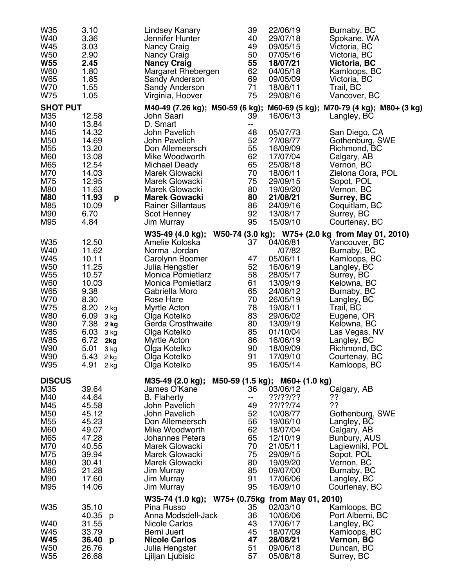| W35<br>W40<br>W45<br>W <sub>50</sub><br><b>W55</b><br><b>W60</b><br>W65<br>W70<br>W75                                                                | 3.10<br>3.36<br>3.03<br>2.90<br>2.45<br>1.80<br>1.85<br>1.55<br>1.05                                                                                                                                 | Lindsey Kanary<br>Jennifer Hunter<br>Nancy Craig<br>Nancy Craig<br><b>Nancy Craig</b><br>Margaret Rhebergen<br>Sandy Anderson<br>Sandy Anderson<br>Virginia, Hoover                                                                                                                                           | 39<br>40<br>49<br>50<br>55<br>62<br>69<br>71<br>75                                     | 22/06/19<br>29/07/18<br>09/05/15<br>07/05/16<br>18/07/21<br>04/05/18<br>09/05/09<br>18/08/11<br>29/08/16                                                                                        | Burnaby, BC<br>Spokane, WA<br>Victoria, BC<br>Victoria, BC<br>Victoria, BC<br>Kamloops, BC<br>Victoria, BC<br>Trail, BC<br>Vancover, BC                                                                                                                                                               |
|------------------------------------------------------------------------------------------------------------------------------------------------------|------------------------------------------------------------------------------------------------------------------------------------------------------------------------------------------------------|---------------------------------------------------------------------------------------------------------------------------------------------------------------------------------------------------------------------------------------------------------------------------------------------------------------|----------------------------------------------------------------------------------------|-------------------------------------------------------------------------------------------------------------------------------------------------------------------------------------------------|-------------------------------------------------------------------------------------------------------------------------------------------------------------------------------------------------------------------------------------------------------------------------------------------------------|
| <b>SHOT PUT</b>                                                                                                                                      |                                                                                                                                                                                                      |                                                                                                                                                                                                                                                                                                               |                                                                                        |                                                                                                                                                                                                 | M40-49 (7.26 kg); M50-59 (6 kg); M60-69 (5 kg); M70-79 (4 kg); M80+ (3 kg)                                                                                                                                                                                                                            |
| M35<br>M40<br>M45<br>M50<br>M <sub>55</sub><br>M60<br>M65<br>M70<br>M75<br>M80<br><b>M80</b><br>M85<br>M90                                           | 12.58<br>13.84<br>14.32<br>14.69<br>13.20<br>13.08<br>12.54<br>14.03<br>12.95<br>11.63<br>11.93<br>p<br>10.09<br>6.70                                                                                | John Saari<br>D. Smart<br>John Pavelich<br>John Pavelich<br>Don Allemeersch<br>Mike Woodworth<br>Michael Deady<br>Marek Glowacki<br>Marek Glowacki<br>Marek Glowacki<br><b>Marek Gowacki</b><br><b>Rainer Sillantaus</b>                                                                                      | 39<br>-−<br>48<br>52<br>55<br>62<br>65<br>70<br>75<br>80<br>80<br>86<br>92             | 16/06/13<br>05/07/73<br>??/08/77<br>16/09/09<br>17/07/04<br>25/08/18<br>18/06/11<br>29/09/15<br>19/09/20<br>21/08/21<br>24/09/16<br>13/08/17                                                    | Langley, BC<br>San Diego, CA<br>Gothenburg, SWE<br>Richmond, BC<br>Calgary, AB<br>Vernon, BC<br>Zielona Gora, POL<br>Sopot, POL<br>Vernon, BC<br>Surrey, BC<br>Coquitlam, BC                                                                                                                          |
| M95                                                                                                                                                  | 4.84                                                                                                                                                                                                 | Scot Henney<br><b>Jim Murray</b>                                                                                                                                                                                                                                                                              | 95                                                                                     | 15/09/10                                                                                                                                                                                        | Surrey, BC<br>Courtenay, BC                                                                                                                                                                                                                                                                           |
| W35<br>W40<br>W45<br><b>W50</b><br>W <sub>55</sub><br><b>W60</b><br>W65<br>W70<br>W75<br><b>W80</b><br><b>W80</b><br>W85<br>W85<br>W90<br>W90<br>W95 | 12.50<br>11.62<br>10.11<br>11.25<br>10.57<br>10.03<br>9.38<br>8.30<br>8.20<br>$2$ kg<br>6.09<br>3 kg<br>7.38<br>2 kg<br>6.03<br>3 kg<br>6.72<br>2kg<br>5.01<br>3 kg<br>5.43<br>$2$ kg<br>4.91 $2 kg$ | W35-49 (4.0 kg);<br>Amelie Koloska<br>Norma Jordan<br>Carolynn Boomer<br>Julia Hengstler<br><b>Monica Pomietlarz</b><br>Monica Pomietlarz<br>Gabriella Moro<br>Rose Hare<br>Myrtle Acton<br>Olga Kotelko<br>Gerda Crosthwaite<br>Olga Kotelko<br>Myrtle Acton<br>Olga Kotelko<br>Olga Kotelko<br>Olga Kotelko | 37<br>47<br>52<br>58<br>61<br>65<br>70<br>78<br>83<br>80<br>85<br>86<br>90<br>91<br>95 | 04/06/81<br>/07/82<br>05/06/11<br>16/06/19<br>28/05/17<br>13/09/19<br>24/08/12<br>26/05/19<br>19/08/11<br>29/06/02<br>13/09/19<br>01/10/04<br>16/06/19<br>18/09/09<br>17/09/10<br>16/05/14      | W50-74 (3.0 kg); W75+ (2.0 kg from May 01, 2010)<br>Vancouver, BC<br>Burnaby, BC<br>Kamloops, BC<br>Langley, BC<br>Surrey, BC<br>Kelowna, BC<br>Burnaby, BC<br>Langley, BC<br>Trail, BC<br>Eugene, OR<br>Kelowna, BC<br>Las Vegas, NV<br>Langley, BC<br>Richmond, BC<br>Courtenay, BC<br>Kamloops, BC |
| <b>DISCUS</b><br>M35<br>M40<br>M45<br>M50<br>M <sub>55</sub><br>M60<br>M65<br>M70<br>M75<br>M80<br>M85<br>M90<br>M95                                 | 39.64<br>44.64<br>45.58<br>45.12<br>45.23<br>49.07<br>47.28<br>40.55<br>39.94<br>30.41<br>21.28<br>17.60<br>14.06                                                                                    | M35-49 (2.0 kg);<br>James O'Kane<br><b>B.</b> Flaherty<br>John Pavelich<br>John Pavelich<br>Don Allemeersch<br>Mike Woodworth<br><b>Johannes Peters</b><br>Marek Glowacki<br>Marek Glowacki<br>Marek Glowacki<br>Jim Murray<br>Jim Murray<br>Jim Murray                                                       | 36<br>н.<br>49<br>52<br>56<br>62<br>65<br>70<br>75<br>80<br>85<br>91<br>95             | M50-59 (1.5 kg); M60+ (1.0 kg)<br>03/06/12<br>??ו??ו??<br>$??$ ??!??/74<br>10/08/77<br>19/06/10<br>18/07/04<br>12/10/19<br>21/05/11<br>29/09/15<br>19/09/20<br>09/07/00<br>17/06/06<br>16/09/10 | Calgary, AB<br>??<br>??<br>Gothenburg, SWE<br>Langley, BC<br>Calgary, AB<br>Bunbury, AUS<br>Lagiewniki, POL<br>Sopot, POL<br>Vernon, BC<br>Burnaby, BC<br>Langley, BC<br>Courtenay, BC                                                                                                                |
| W35<br>W40<br>W45<br><b>W45</b><br>W <sub>50</sub><br>W55                                                                                            | 35.10<br>40.35 p<br>31.55<br>33.79<br>36.40<br>p<br>26.76<br>26.68                                                                                                                                   | W35-74 (1.0 kg); W75+ (0.75kg from May 01, 2010)<br>Pina Russo<br>Anna Modsdell-Jack<br>Nicole Carlos<br>Berni Juert<br><b>Nicole Carlos</b><br>Julia Hengster<br>Ljiljan Ljubisic                                                                                                                            | 35<br>36<br>43<br>45<br>47<br>51<br>57                                                 | 02/03/10<br>10/06/06<br>17/06/17<br>18/07/09<br>28/08/21<br>09/06/18<br>05/08/18                                                                                                                | Kamloops, BC<br>Port Alberni, BC<br>Langley, BC<br>Kamloops, BC<br><b>Vernon, BC</b><br>Duncan, BC<br>Surrey, BC                                                                                                                                                                                      |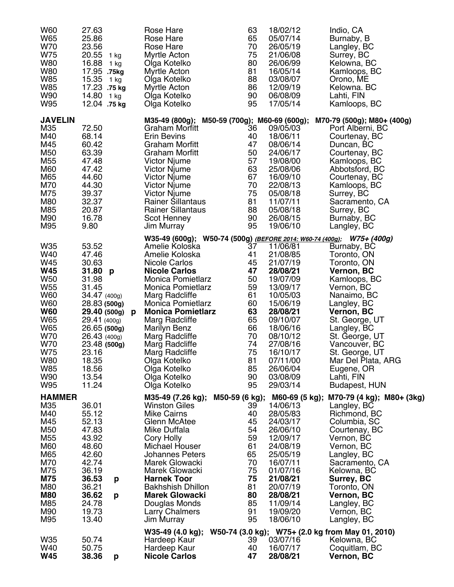| W60<br>W65<br>W70<br>W75<br><b>W80</b><br>W80<br>W85<br><b>W85</b><br>W90<br>W95                                                                                                 | 27.63<br>25.86<br>23.56<br>20.55 1 kg<br>16.88 1 kg<br>17.95 .75kg<br>15.35 1 kg<br>17.23 .75 kg<br>14.80 1 kg<br>12.04 .75 kg                                                                                    |   | Rose Hare<br>Rose Hare<br>Rose Hare<br>Myrtle Acton<br>Olga Kotelko<br>Myrtle Acton<br>Olga Kotelko<br>Myrtle Acton<br>Olga Kotelko<br>Olga Kotelko                                                                                                                                                                                                          |                | 63<br>65<br>70<br>75<br>80<br>81<br>88<br>86<br>90<br>95                                                 | 18/02/12<br>05/07/14<br>26/05/19<br>21/06/08<br>26/06/99<br>16/05/14<br>03/08/07<br>12/09/19<br>06/08/09<br>17/05/14                                                                                                 | Indio, CA<br>Burnaby, B<br>Langley, BC<br>Surrey, BC<br>Kelowna, BC<br>Kamloops, BC<br>Orono, ME<br>Kelowna. BC<br>Lahti, FIN<br>Kamloops, BC                                                                                                                                                                                                                                     |
|----------------------------------------------------------------------------------------------------------------------------------------------------------------------------------|-------------------------------------------------------------------------------------------------------------------------------------------------------------------------------------------------------------------|---|--------------------------------------------------------------------------------------------------------------------------------------------------------------------------------------------------------------------------------------------------------------------------------------------------------------------------------------------------------------|----------------|----------------------------------------------------------------------------------------------------------|----------------------------------------------------------------------------------------------------------------------------------------------------------------------------------------------------------------------|-----------------------------------------------------------------------------------------------------------------------------------------------------------------------------------------------------------------------------------------------------------------------------------------------------------------------------------------------------------------------------------|
| <b>JAVELIN</b><br>M35<br>M40<br>M45<br>M50<br>M <sub>55</sub><br>M60<br>M65<br>M70<br>M75<br>M80<br>M85<br>M90<br>M95                                                            | 72.50<br>68.14<br>60.42<br>63.39<br>47.48<br>47.42<br>44.60<br>44.30<br>39.37<br>32.37<br>20.87<br>16.78<br>9.80                                                                                                  |   | M35-49 (800g); M50-59 (700g); M60-69 (600g);<br>Graham Morfitt<br><b>Erin Bevins</b><br>Graham Morfitt<br>Graham Morfitt<br>Victor Njume<br>Victor Njume<br>Victor Njume<br><b>Victor Njume</b><br><b>Victor Njume</b><br><b>Rainer Sillantaus</b><br><b>Rainer Sillantaus</b><br>Scot Henney<br>Jim Murray                                                  |                | 36<br>40<br>47<br>50<br>57<br>63<br>67<br>70<br>75<br>81<br>88<br>90<br>95                               | 09/05/03<br>18/06/11<br>08/06/14<br>24/06/17<br>19/08/00<br>25/08/06<br>16/09/10<br>22/08/13<br>05/08/18<br>11/07/11<br>05/08/18<br>26/08/15<br>19/06/10                                                             | M70-79 (500g); M80+ (400g)<br>Port Alberni, BC<br>Courtenay, BC<br>Duncan, BC<br>Courtenay, BC<br>Kamloops, BC<br>Abbotsford, BC<br>Courtenay, BC<br>Kamloops, BC<br>Surrey, BC<br>Sacramento, CA<br>Surrey, BC<br>Burnaby, BC<br>Langley, BC                                                                                                                                     |
| W35<br>W40<br>W45<br><b>W45</b><br><b>W50</b><br>W <sub>55</sub><br><b>W60</b><br><b>W60</b><br><b>W60</b><br>W65<br>W65<br>W70<br>W70<br>W75<br><b>W80</b><br>W85<br>W90<br>W95 | 53.52<br>47.46<br>30.63<br>31.80 p<br>31.98<br>31.45<br>34.47 (400g)<br>28.83 (500g)<br>29.40 (500g)<br>29.41 (400g)<br>26.65 (500g)<br>26.43 (400g)<br>23.48 (500g)<br>23.16<br>18.35<br>18.56<br>13.54<br>11.24 | p | Amelie Koloska<br>Amelie Koloska<br>Nicole Carlos<br><b>Nicole Carlos</b><br>Monica Pomietlarz<br>Monica Pomietlarz<br><b>Marg Radcliffe</b><br>Monica Pomietlarz<br><b>Monica Pomietlarz</b><br>Marg Radcliffe<br><b>Marilyn Benz</b><br>Marg Radcliffe<br>Marg Radcliffe<br>Marg Radcliffe<br>Olga Kotelko<br>Olga Kotelko<br>Olga Kotelko<br>Olga Kotelko |                | 37<br>41<br>45<br>47<br>50<br>59<br>61<br>60<br>63<br>65<br>66<br>70<br>74<br>75<br>81<br>85<br>90<br>95 | 11/06/81<br>21/08/85<br>21/07/19<br>28/08/21<br>19/07/09<br>13/09/17<br>10/05/03<br>15/06/19<br>28/08/21<br>09/10/07<br>18/06/16<br>08/10/12<br>27/08/16<br>16/10/17<br>07/11/00<br>26/06/04<br>03/08/09<br>29/03/14 | W35-49 (600g); W50-74 (500g) (BEFORE 2014: W60-74 (400g); W75+ (400g)<br>Burnaby, BC<br>Toronto, ON<br>Toronto, ON<br><b>Vernon, BC</b><br>Kamloops, BC<br>Vernon, BC<br>Nanaimo, BC<br>Langley, BC<br><b>Vernon, BC</b><br>St. George, UT<br>Langley, BC<br>St. George, UT<br>Vancouver, BC<br>St. George, UT<br>Mar Del Plata, ARG<br>Eugene, OR<br>Lahti, FIN<br>Budapest, HUN |
| <b>HAMMER</b><br>M35<br>M40<br>M45<br>M50<br>M <sub>55</sub><br>M60<br>M65<br>M70<br>M75<br><b>M75</b><br>M80<br><b>M80</b><br>M85<br>M90<br>M95                                 | 36.01<br>55.12<br>52.13<br>47.83<br>43.92<br>48.60<br>42.60<br>42.74<br>36.19<br>36.53<br>p<br>36.21<br>36.62<br>p<br>24.78<br>19.73<br>13.40                                                                     |   | M35-49 (7.26 kg);<br><b>Winston Giles</b><br><b>Mike Cairns</b><br>Glenn McAtee<br>Mike Duffala<br>Cory Holly<br>Michael Houser<br><b>Johannes Peters</b><br>Marek Glowacki<br>Marek Glowacki<br><b>Harnek Toor</b><br><b>Bakhshish Dhillon</b><br><b>Marek Glowacki</b><br>Douglas Monds<br><b>Larry Chalmers</b><br>Jim Murray                             | M50-59 (6 kg); | 39<br>40<br>45<br>54<br>59<br>61<br>65<br>70<br>75<br>75<br>81<br>80<br>85<br>91<br>95                   | M60-69 (5 kg);<br>14/06/13<br>28/05/83<br>24/03/17<br>26/06/10<br>12/09/17<br>24/08/19<br>25/05/19<br>16/07/11<br>01/07/16<br>21/08/21<br>20/07/19<br>28/08/21<br>11/09/14<br>19/09/20<br>18/06/10                   | M70-79 (4 kg); M80+ (3kg)<br>Langley, BC<br>Richmond, BC<br>Columbia, SC<br>Courtenay, BC<br>Vernon, BC<br>Vernon, BC<br>Langley, BC<br>Sacramento, CA<br>Kelowna, BC<br>Surrey, BC<br>Toronto, ON<br>Vernon, BC<br>Langley, BC<br>Vernon, BC<br>Langley, BC                                                                                                                      |
| W35<br>W40<br><b>W45</b>                                                                                                                                                         | 50.74<br>50.75<br>38.36<br>p                                                                                                                                                                                      |   | W35-49 (4.0 kg);<br>Hardeep Kaur<br>Hardeep Kaur<br><b>Nicole Carlos</b>                                                                                                                                                                                                                                                                                     |                | 39<br>40<br>47                                                                                           | 03/07/16<br>16/07/17<br>28/08/21                                                                                                                                                                                     | W50-74 (3.0 kg); W75+ (2.0 kg from May 01, 2010)<br>Kelowna, BC<br>Coquitlam, BC<br><b>Vernon, BC</b>                                                                                                                                                                                                                                                                             |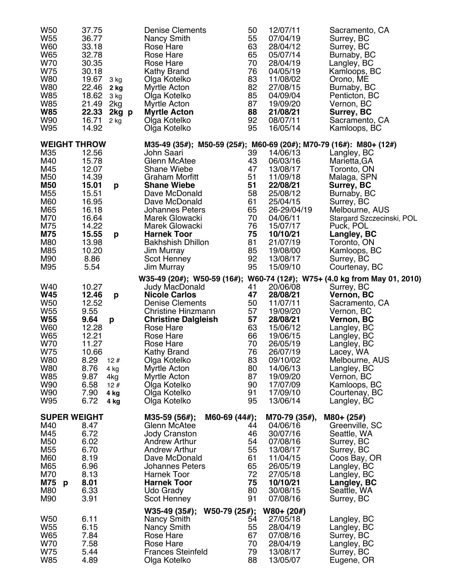| W50<br>W <sub>55</sub><br>W60<br>W65<br>W70<br>W75<br><b>W80</b><br><b>W80</b><br>W85<br>W85<br><b>W85</b><br>W90 | 37.75<br>36.77<br>33.18<br>32.78<br>30.35<br>30.18<br>19.67<br>22.46<br>18.62<br>21.49<br>22.33<br>16.71 | 3 kg<br>2 kg<br>3 kg<br>2kg<br>2kg p<br>$2$ kg | Denise Clements<br>Nancy Smith<br>Rose Hare<br>Rose Hare<br>Rose Hare<br>Kathy Brand<br>Olga Kotelko<br>Myrtle Acton<br>Olga Kotelko<br>Myrtle Acton<br><b>Myrtle Acton</b><br>Olga Kotelko |                 | 50<br>55<br>63<br>65<br>70<br>76<br>83<br>82<br>85<br>87<br>88<br>92 | 12/07/11<br>07/04/19<br>28/04/12<br>05/07/14<br>28/04/19<br>04/05/19<br>11/08/02<br>27/08/15<br>04/09/04<br>19/09/20<br>21/08/21<br>08/07/11 | Sacramento, CA<br>Surrey, BC<br>Surrey, BC<br>Burnaby, BC<br>Langley, BC<br>Kamloops, BC<br>Orono, ME<br>Burnaby, BC<br>Penticton, BC<br>Vernon, BC<br>Surrey, BC<br>Sacramento, CA |
|-------------------------------------------------------------------------------------------------------------------|----------------------------------------------------------------------------------------------------------|------------------------------------------------|---------------------------------------------------------------------------------------------------------------------------------------------------------------------------------------------|-----------------|----------------------------------------------------------------------|----------------------------------------------------------------------------------------------------------------------------------------------|-------------------------------------------------------------------------------------------------------------------------------------------------------------------------------------|
| W95                                                                                                               | 14.92                                                                                                    |                                                | Olga Kotelko                                                                                                                                                                                |                 | 95                                                                   | 16/05/14                                                                                                                                     | Kamloops, BC                                                                                                                                                                        |
| <b>WEIGHT THROW</b>                                                                                               |                                                                                                          |                                                |                                                                                                                                                                                             |                 |                                                                      |                                                                                                                                              | M35-49 (35#); M50-59 (25#); M60-69 (20#); M70-79 (16#): M80+ (12#)                                                                                                                  |
| M35<br>M40                                                                                                        | 12.56<br>15.78                                                                                           |                                                | John Saari<br>Glenn McAtee                                                                                                                                                                  |                 | 39<br>43                                                             | 14/06/13<br>06/03/16                                                                                                                         | Langley, BC<br>Marietta, GA                                                                                                                                                         |
| M45                                                                                                               | 12.07                                                                                                    |                                                | <b>Shane Wiebe</b>                                                                                                                                                                          |                 | 47                                                                   | 13/08/17                                                                                                                                     | Toronto, ON                                                                                                                                                                         |
| M50                                                                                                               | 14.39                                                                                                    |                                                | <b>Graham Morfitt</b>                                                                                                                                                                       |                 | 51                                                                   | 11/09/18                                                                                                                                     | Malaga, SPN                                                                                                                                                                         |
| <b>M50</b>                                                                                                        | 15.01                                                                                                    | p                                              | <b>Shane Wiebe</b>                                                                                                                                                                          |                 | 51                                                                   | 22/08/21                                                                                                                                     | Surrey, BC                                                                                                                                                                          |
| M55                                                                                                               | 15.51                                                                                                    |                                                | Dave McDonald                                                                                                                                                                               |                 | 58                                                                   | 25/08/12                                                                                                                                     | Burnaby, BC                                                                                                                                                                         |
| M60                                                                                                               | 16.95                                                                                                    |                                                | Dave McDonald                                                                                                                                                                               |                 | 61                                                                   | 25/04/15                                                                                                                                     | Surrey, BC                                                                                                                                                                          |
| M65                                                                                                               | 16.18                                                                                                    |                                                | <b>Johannes Peters</b>                                                                                                                                                                      |                 | 65                                                                   | 26-29/04/19                                                                                                                                  | Melbourne, AUS                                                                                                                                                                      |
| M70                                                                                                               | 16.64                                                                                                    |                                                | Marek Glowacki                                                                                                                                                                              |                 | 70                                                                   | 04/06/11                                                                                                                                     | Stargard Szczecinski, POL                                                                                                                                                           |
| M75                                                                                                               | 14.22                                                                                                    |                                                | Marek Glowacki                                                                                                                                                                              |                 | 76                                                                   | 15/07/17                                                                                                                                     | Puck, POL                                                                                                                                                                           |
| <b>M75</b>                                                                                                        | 15.55                                                                                                    | p                                              | <b>Harnek Toor</b>                                                                                                                                                                          |                 | 75                                                                   | 10/10/21                                                                                                                                     | Langley, BC                                                                                                                                                                         |
| M80<br>M85                                                                                                        | 13.98<br>10.20                                                                                           |                                                | <b>Bakhshish Dhillon</b>                                                                                                                                                                    |                 | 81<br>85                                                             | 21/07/19<br>19/08/00                                                                                                                         | Toronto, ON                                                                                                                                                                         |
| M90                                                                                                               | 8.86                                                                                                     |                                                | Jim Murray<br>Scot Henney                                                                                                                                                                   |                 | 92                                                                   | 13/08/17                                                                                                                                     | Kamloops, BC<br>Surrey, BC                                                                                                                                                          |
| M95                                                                                                               | 5.54                                                                                                     |                                                | Jim Murray                                                                                                                                                                                  |                 | 95                                                                   | 15/09/10                                                                                                                                     | Courtenay, BC                                                                                                                                                                       |
|                                                                                                                   |                                                                                                          |                                                |                                                                                                                                                                                             |                 |                                                                      |                                                                                                                                              | W35-49 (20#); W50-59 (16#); W60-74 (12#); W75+ (4.0 kg from May 01, 2010)                                                                                                           |
| W40                                                                                                               | 10.27                                                                                                    |                                                | Judy MacDonald                                                                                                                                                                              |                 | 41                                                                   | 20/06/08                                                                                                                                     | Surrey, BC                                                                                                                                                                          |
| <b>W45</b>                                                                                                        | 12.46                                                                                                    | p                                              | <b>Nicole Carlos</b>                                                                                                                                                                        |                 | 47                                                                   | 28/08/21                                                                                                                                     | <b>Vernon, BC</b>                                                                                                                                                                   |
| <b>W50</b>                                                                                                        | 12.52                                                                                                    |                                                | <b>Denise Clements</b>                                                                                                                                                                      |                 | 50                                                                   | 11/07/11                                                                                                                                     | Sacramento, CA                                                                                                                                                                      |
| W <sub>55</sub>                                                                                                   | 9.55                                                                                                     |                                                | Christine Hinzmann                                                                                                                                                                          |                 | 57                                                                   | 19/09/20                                                                                                                                     | Vernon, BC                                                                                                                                                                          |
| <b>W55</b>                                                                                                        | 9.64                                                                                                     | p                                              | <b>Christine Dalgleish</b>                                                                                                                                                                  |                 | 57                                                                   | 28/08/21                                                                                                                                     | <b>Vernon, BC</b>                                                                                                                                                                   |
| <b>W60</b>                                                                                                        | 12.28                                                                                                    |                                                | Rose Hare                                                                                                                                                                                   |                 | 63                                                                   | 15/06/12                                                                                                                                     | Langley, BC                                                                                                                                                                         |
| W65                                                                                                               | 12.21                                                                                                    |                                                | Rose Hare                                                                                                                                                                                   |                 | 66                                                                   | 19/06/15                                                                                                                                     | Langley, BC                                                                                                                                                                         |
| W70                                                                                                               | 11.27                                                                                                    |                                                | Rose Hare                                                                                                                                                                                   |                 | 70                                                                   | 26/05/19                                                                                                                                     | Langley, BC                                                                                                                                                                         |
| W75                                                                                                               | 10.66                                                                                                    |                                                | <b>Kathy Brand</b>                                                                                                                                                                          |                 | 76                                                                   | 26/07/19                                                                                                                                     | Lacey, WA                                                                                                                                                                           |
| <b>W80</b><br>W80                                                                                                 | $8.29$ 12#<br>8.76                                                                                       |                                                | Olga Kotelko<br>Myrtle Acton                                                                                                                                                                |                 | 83<br>80                                                             | 09/10/02<br>14/06/13                                                                                                                         | Melbourne, AUS                                                                                                                                                                      |
| W85                                                                                                               | 9.87                                                                                                     | 4 kg<br>4kg                                    | Myrtle Acton                                                                                                                                                                                |                 | 87                                                                   | 19/09/20                                                                                                                                     | Langley, BC<br>Vernon, BC                                                                                                                                                           |
| W90                                                                                                               | 6.58                                                                                                     | 12#                                            | Olga Kotelko                                                                                                                                                                                |                 | 90                                                                   | 17/07/09                                                                                                                                     | Kamloops, BC                                                                                                                                                                        |
| W90                                                                                                               | 7.90                                                                                                     | 4 kg                                           | Olga Kotelko                                                                                                                                                                                |                 | 91                                                                   | 17/09/10                                                                                                                                     | Courtenay, BC                                                                                                                                                                       |
| W95                                                                                                               | 6.72                                                                                                     | 4 kg                                           | Olga Kotelko                                                                                                                                                                                |                 | 95                                                                   | 13/06/14                                                                                                                                     | Langley, BC                                                                                                                                                                         |
|                                                                                                                   |                                                                                                          |                                                |                                                                                                                                                                                             |                 |                                                                      |                                                                                                                                              |                                                                                                                                                                                     |
| <b>SUPER WEIGHT</b><br>M40                                                                                        | 8.47                                                                                                     |                                                | $M35-59(56#);$<br>Glenn McAtee                                                                                                                                                              | M60-69 $(44#);$ | 44                                                                   | M70-79 (35#),<br>04/06/16                                                                                                                    | $M80+ (25#)$<br>Greenville, SC                                                                                                                                                      |
| M45                                                                                                               | 6.72                                                                                                     |                                                | <b>Jody Cranston</b>                                                                                                                                                                        |                 | 46                                                                   | 30/07/16                                                                                                                                     | Seattle, WA                                                                                                                                                                         |
| M50                                                                                                               | 6.02                                                                                                     |                                                | <b>Andrew Arthur</b>                                                                                                                                                                        |                 | 54                                                                   | 07/08/16                                                                                                                                     | Surrey, BC                                                                                                                                                                          |
| M <sub>55</sub>                                                                                                   | 6.70                                                                                                     |                                                | <b>Andrew Arthur</b>                                                                                                                                                                        |                 | 55                                                                   | 13/08/17                                                                                                                                     | Surrey, BC                                                                                                                                                                          |
| M60                                                                                                               | 8.19                                                                                                     |                                                | Dave McDonald                                                                                                                                                                               |                 | 61                                                                   | 11/04/15                                                                                                                                     | Coos Bay, OR                                                                                                                                                                        |
| M65                                                                                                               | 6.96                                                                                                     |                                                | <b>Johannes Peters</b>                                                                                                                                                                      |                 | 65                                                                   | 26/05/19                                                                                                                                     | Langley, BC                                                                                                                                                                         |
| M70                                                                                                               | 8.13                                                                                                     |                                                | Harnek Toor                                                                                                                                                                                 |                 | 72                                                                   | 27/05/18                                                                                                                                     | Langley, BC                                                                                                                                                                         |
| M75<br>p                                                                                                          | 8.01                                                                                                     |                                                | <b>Harnek Toor</b>                                                                                                                                                                          |                 | 75                                                                   | 10/10/21                                                                                                                                     | Langley, BC                                                                                                                                                                         |
| M80                                                                                                               | 6.33                                                                                                     |                                                | Udo Grady                                                                                                                                                                                   |                 | 80                                                                   | 30/08/15                                                                                                                                     | Seattle, WA                                                                                                                                                                         |
| M90                                                                                                               | 3.91                                                                                                     |                                                | <b>Scot Henney</b>                                                                                                                                                                          |                 | 91                                                                   | 07/08/16                                                                                                                                     | Surrey, BC                                                                                                                                                                          |
|                                                                                                                   |                                                                                                          |                                                | $W35-49(35#);$                                                                                                                                                                              | $W50-79(25#);$  |                                                                      | $W80+ (20#)$                                                                                                                                 |                                                                                                                                                                                     |
| W <sub>50</sub>                                                                                                   | 6.11                                                                                                     |                                                | Nancy Smith                                                                                                                                                                                 |                 | 54                                                                   | 27/05/18                                                                                                                                     | Langley, BC                                                                                                                                                                         |
| W <sub>55</sub>                                                                                                   | 6.15                                                                                                     |                                                | Nancy Smith                                                                                                                                                                                 |                 | 55                                                                   | 28/04/19                                                                                                                                     | Langley, BC                                                                                                                                                                         |
| W65                                                                                                               | 7.84                                                                                                     |                                                | Rose Hare                                                                                                                                                                                   |                 | 67                                                                   | 07/08/16                                                                                                                                     | Surrey, BC                                                                                                                                                                          |
| W70                                                                                                               | 7.58                                                                                                     |                                                | Rose Hare                                                                                                                                                                                   |                 | 70                                                                   | 28/04/19                                                                                                                                     | Langley, BC                                                                                                                                                                         |
| W75<br>W85                                                                                                        | 5.44<br>4.89                                                                                             |                                                | <b>Frances Steinfeld</b><br>Olga Kotelko                                                                                                                                                    |                 | 79<br>88                                                             | 13/08/17<br>13/05/07                                                                                                                         | Surrey, BC<br>Eugene, OR                                                                                                                                                            |
|                                                                                                                   |                                                                                                          |                                                |                                                                                                                                                                                             |                 |                                                                      |                                                                                                                                              |                                                                                                                                                                                     |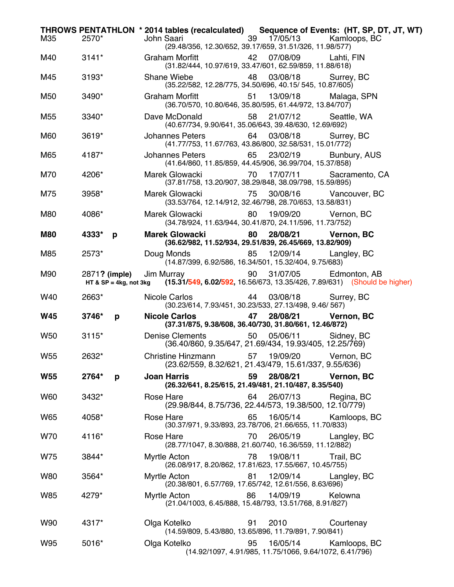|                 |               | THROWS PENTATHLON * 2014 tables (recalculated) Sequence of Events: (HT, SP, DT, JT, WT)                                                       |
|-----------------|---------------|-----------------------------------------------------------------------------------------------------------------------------------------------|
| M35             | 2570*         | 39 17/05/13 Kamloops, BC<br>John Saari North Saari Saari Suuri ka marka 1979.<br>(29.48/356, 12.30/652, 39.17/659, 31.51/326, 11.98/577)      |
| M40             | $3141*$       | Graham Morfitt <b>42</b> 07/08/09 Lahti, FIN<br>(31.82/444, 10.97/619, 33.47/601, 62.59/859, 11.88/618)                                       |
| M45             | 3193*         | 48<br>03/08/18<br>Shane Wiebe<br>Surrey, BC<br>(35.22/582, 12.28/775, 34.50/696, 40.15/ 545, 10.87/605)                                       |
| M50             | 3490*         | 51  13/09/18<br>Graham Morfitt<br>Malaga, SPN<br>(36.70/570, 10.80/646, 35.80/595, 61.44/972, 13.84/707)                                      |
| M55             | 3340*         | Dave McDonald<br>58 21/07/12<br>Seattle, WA<br>(40.67/734, 9.90/641, 35.06/643, 39.48/630, 12.69/692)                                         |
| M60             | $3619*$       | Johannes Peters 64 03/08/18<br>Surrey, BC<br>(41.77/753, 11.67/763, 43.86/800, 32.58/531, 15.01/772)                                          |
| M65             | 4187*         | Johannes Peters 65 23/02/19 Bunbury, AUS<br>(41.64/860, 11.85/859, 44.45/906, 36.99/704, 15.37/858)                                           |
| M70             | 4206*         | Marek Glowacki 70 17/07/11<br>Sacramento, CA<br>(37.81/758, 13.20/907, 38.29/848, 38.09/798, 15.59/895)                                       |
| M75             | 3958*         | 30/08/16 Vancouver, BC<br>Marek Glowacki 675<br>(33.53/764, 12.14/912, 32.46/798, 28.70/653, 13.58/831)                                       |
| M80             | 4086*         | Marek Glowacki<br>80 19/09/20 Vernon, BC<br>(34.78/924, 11.63/944, 30.41/870, 24.11/596, 11.73/752)                                           |
| M80             | 4333*<br>p    | Marek Glowacki 80 28/08/21 Vernon, BC<br>(36.62/982, 11.52/934, 29.51/839, 26.45/669, 13.82/909)                                              |
| M85             | 2573*         | Doug Monds 85 12/09/14<br>Langley, BC<br>(14.87/399, 6.92/586, 16.34/501, 15.32/404, 9.75/683)                                                |
| M90             | 2871? (imple) | Jim Murray <b>30 S1/07/05</b> Edmonton, AB<br>HT & SP = 4kg, not 3kg (15.31/549, 6.02/592, 16.56/673, 13.35/426, 7.89/631) (Should be higher) |
| W40             | 2663*         | Nicole Carlos<br>44  03/08/18<br>Surrey, BC<br>(30.23/614, 7.93/451, 30.23/533, 27.13/498, 9.46/ 567)                                         |
| <b>W45</b>      | 3746*<br>p    | 47 28/08/21 Vernon, BC<br><b>Nicole Carlos</b><br>(37.31/875, 9.38/608, 36.40/730, 31.80/661, 12.46/872)                                      |
| <b>W50</b>      | $3115*$       | Denise Clements<br>50  05/06/11<br>Sidney, BC<br>$(36.40/860, 9.35/647, 21.69/434, 19.93/405, 12.25/769)$                                     |
| W <sub>55</sub> | 2632*         | Christine Hinzmann 57 19/09/20<br>Vernon, BC<br>(23.62/559, 8.32/621, 21.43/479, 15.61/337, 9.55/636)                                         |
| <b>W55</b>      | 2764*<br>p    | 59<br>28/08/21<br><b>Joan Harris</b><br>Vernon, BC<br>(26.32/641, 8.25/615, 21.49/481, 21.10/487, 8.35/540)                                   |
| W60             | 3432*         | Rose Hare<br>64<br>26/07/13<br>Regina, BC<br>(29.98/844, 8.75/736, 22.44/573, 19.38/500, 12.10/779)                                           |
| W65             | 4058*         | 16/05/14<br>Rose Hare<br>65<br>Kamloops, BC<br>(30.37/971, 9.33/893, 23.78/706, 21.66/655, 11.70/833)                                         |
| W70             | 4116*         | 70<br>26/05/19<br>Rose Hare<br>Langley, BC<br>(28.77/1047, 8.30/888, 21.60/740, 16.36/559, 11.12/882)                                         |
| W75             | 3844*         | 78<br>19/08/11<br>Myrtle Acton<br>Trail, BC<br>(26.08/917, 8.20/862, 17.81/623, 17.55/667, 10.45/755)                                         |
| W80             | 3564*         | 81<br>12/09/14<br>Myrtle Acton<br>Langley, BC<br>(20.38/801, 6.57/769, 17.65/742, 12.61/556, 8.63/696)                                        |
| W85             | 4279*         | Myrtle Acton<br>14/09/19<br>Kelowna<br>86<br>(21.04/1003, 6.45/888, 15.48/793, 13.51/768, 8.91/827)                                           |
| W90             | 4317*         | Olga Kotelko<br>91<br>2010<br>Courtenay<br>(14.59/809, 5.43/880, 13.65/896, 11.79/891, 7.90/841)                                              |
| W95             | 5016*         | 95<br>16/05/14<br>Olga Kotelko<br>Kamloops, BC<br>(14.92/1097, 4.91/985, 11.75/1066, 9.64/1072, 6.41/796)                                     |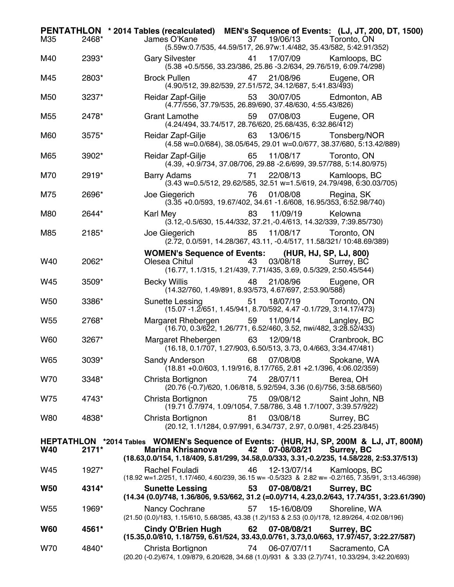| M35             | 2468*   | PENTATHLON * 2014 Tables (recalculated) MEN's Sequence of Events: (LJ, JT, 200, DT, 1500)<br>James O'Kane<br>37 19/06/13 Toronto, ON<br>(5.59w:0.7/535, 44.59/517, 26.97w:1.4/482, 35.43/582, 5:42.91/352)                                         |
|-----------------|---------|----------------------------------------------------------------------------------------------------------------------------------------------------------------------------------------------------------------------------------------------------|
| M40             | 2393*   | Gary Silvester <b>Sandware</b><br>41 17/07/09 Kamloops, BC<br>(5.38 +0.5/556, 33.23/386, 25.86 -3.2/634, 29.76/519, 6:09.74/298)                                                                                                                   |
| M45             | 2803*   | 21/08/96<br><b>Brock Pullen</b><br>47<br>Eugene, OR<br>(4.90/512, 39.82/539, 27.51/572, 34.12/687, 5:41.83/493)                                                                                                                                    |
| M50             | 3237*   | 53 30/07/05<br>Reidar Zapf-Gilje<br>Edmonton, AB<br>(4.77/556, 37.79/535, 26.89/690, 37.48/630, 4:55.43/826)                                                                                                                                       |
| M <sub>55</sub> | 2478*   | Grant Lamothe <b>Contains Container</b><br>07/08/03<br>59<br>Eugene, OR<br>(4.24/494, 33.74/517, 28.76/620, 25.68/435, 6:32.86/412)                                                                                                                |
| M60             | 3575*   | Reidar Zapf-Gilje<br>63 13/06/15 Tonsberg/NOR<br>(4.58 w=0.0/684), 38.05/645, 29.01 w=0.0/677, 38.37/680, 5:13.42/889)                                                                                                                             |
| M65             | 3902*   | 65 11/08/17 Toronto, ON<br>Reidar Zapf-Gilje<br>(4.39, +0.9/734, 37.08/706, 29.88 -2.6/699, 39.57/788, 5:14.80/975)                                                                                                                                |
| M70             | 2919*   | 22/08/13<br>Kamloops, BC<br><b>Barry Adams</b><br>71<br>(3.43 w=0.5/512, 29.62/585, 32.51 w=1.5/619, 24.79/498, 6:30.03/705)                                                                                                                       |
| M75             | 2696*   | Joe Giegerich 76<br>01/08/08<br>Regina, SK<br>$(3.\overline{35} + 0.0/\overline{593}, 19.67/\overline{402}, 34.61 - 1.6/\overline{608}, 16.95/\overline{353}, 6.52.98/\overline{740})$                                                             |
| M80             | 2644*   | 83<br>11/09/19<br>Karl Mey <b>Example 20</b><br>Kelowna<br>(3.12, -0.5/630, 15.44/332, 37.21, -0.4/613, 14.32/339, 7:39.85/730)                                                                                                                    |
| M85             | 2185*   | Joe Giegerich and the Sea<br>85<br>11/08/17 Toronto, ON<br>(2.72, 0.0/591, 14.28/367, 43.11, -0.4/517, 11.58/321/ 10:48.69/389)                                                                                                                    |
| W40             | 2062*   | WOMEN's Sequence of Events: (HUR, HJ, SP, LJ, 800)<br>03/08/18<br>Olesea Chitul <b>Changes</b><br>43<br>Surrey, BC<br>(16.77, 1.1/315, 1.21/439, 7.71/435, 3.69, 0.5/329, 2:50.45/544)                                                             |
| W45             | 3509*   | 21/08/96<br>Becky Willis <b>Becky</b><br>48<br>Eugene, OR<br>$(14.32/760, 1.49/891, 8.93/573, 4.67/697, 2.53.90/588)$                                                                                                                              |
| W <sub>50</sub> | 3386*   | 51  18/07/19<br>Sunette Lessing Sunette<br>Toronto, ON<br>(15.07 -1.2/651, 1.45/941, 8.70/592, 4.47 -0.1/729, 3:14.17/473)                                                                                                                         |
| W <sub>55</sub> | 2768*   | Margaret Rhebergen 59 11/09/14<br>Langley, BC<br>(16.70, 0.3/622, 1.26/771, 6.52/460, 3.52, nwi/482, 3:28.52/433)                                                                                                                                  |
| W60             | 3267*   | Margaret Rhebergen<br>63<br>12/09/18 Cranbrook, BC<br>(16.18, 0.1/707, 1.27/903, 6.50/513, 3.73, 0.4/663, 3:34.47/481)                                                                                                                             |
| <b>W65</b>      | 3039*   | Sandy Anderson 68 07/08/08 Spokane, WA<br>$(18.81 + 0.0/603, 1.19/916, 8.17/765, 2.81 + 2.1/396, 4.06.02/359)$                                                                                                                                     |
| W70             | 3348*   | 28/07/11<br>Christa Bortignon<br>74<br>Berea, OH<br>(20.76 (-0.7)/620, 1.06/818, 5.92/594, 3.36 (0.6)/756, 3:58.68/560)                                                                                                                            |
| W75             | 4743*   | 75<br>Christa Bortignon<br>09/08/12<br>Saint John, NB<br>(19.71 0.7/974, 1.09/1054, 7.58/786, 3.48 1.7/1007, 3:39.57/922)                                                                                                                          |
| <b>W80</b>      | 4838*   | 81<br>03/08/18<br>Surrey, BC<br>Christa Bortignon<br>(20.12, 1.1/1284, 0.97/991, 6.34/737, 2.97, 0.0/981, 4:25.23/845)                                                                                                                             |
| <b>W40</b>      | $2171*$ | HEPTATHLON *2014 Tables WOMEN's Sequence of Events: (HUR, HJ, SP, 200M & LJ, JT, 800M)<br><b>Marina Khrisanova</b><br>42<br>07-08/08/21<br>Surrey, BC<br>(18.63,0.0/154, 1.18/409, 5.81/299, 34.58,0.0/333, 3.31,-0.2/235, 14.58/228, 2:53.37/513) |
| W45             | 1927*   | Rachel Fouladi<br>46<br>12-13/07/14<br>Kamloops, BC<br>(18.92 w=1.2/251, 1.17/460, 4.60/239, 36.15 w= -0.5/323 & 2.82 w= -0.2/165, 7.35/91, 3:13.46/398)                                                                                           |
| <b>W50</b>      | 4314*   | 53<br>07-08/08/21<br><b>Sunette Lessing</b><br>Surrey, BC<br>(14.34 (0.0)/748, 1.36/806, 9.53/662, 31.2 (=0.0)/714, 4.23,0.2/643, 17.74/351, 3:23.61/390)                                                                                          |
| W <sub>55</sub> | 1969*   | 57<br>15-16/08/09<br>Shoreline, WA<br>Nancy Cochrane<br>(21.50 (0.0)/183, 1.15/610, 5.68/385, 43.38 (1.2)/153 & 2.53 (0.0)/178, 12.89/264, 4:02.08/196)                                                                                            |
| <b>W60</b>      | 4561*   | <b>Cindy O'Brien Hugh</b><br>62<br>07-08/08/21<br>Surrey, BC<br>(15.35,0.0/810, 1.18/759, 6.61/524, 33.43,0.0/761, 3.73,0.0/663, 17.97/457, 3:22.27/587)                                                                                           |
| W70             | 4840*   | 06-07/07/11<br>Christa Bortignon<br>Sacramento, CA<br>74<br>(20.20 (-0.2)/674, 1.09/879, 6.20/628, 34.68 (1.0)/931 & 3.33 (2.7)/741, 10.33/294, 3:42.20/693)                                                                                       |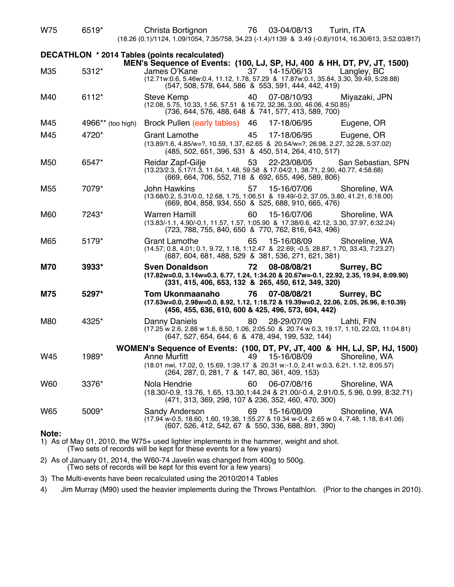| W75                                                                                                                      | 6519*             | Christa Bortignon<br>(18.26 (0.1)/1124, 1.09/1054, 7.35/758, 34.23 (-1.4)/1139 & 3.49 (-0.8)/1014, 16.30/613, 3:52.03/817)                                                                                                                                               | 76<br>03-04/08/13                                                        | Turin, ITA         |  |  |
|--------------------------------------------------------------------------------------------------------------------------|-------------------|--------------------------------------------------------------------------------------------------------------------------------------------------------------------------------------------------------------------------------------------------------------------------|--------------------------------------------------------------------------|--------------------|--|--|
| DECATHLON * 2014 Tables (points recalculated)<br>MEN's Sequence of Events: (100, LJ, SP, HJ, 400 & HH, DT, PV, JT, 1500) |                   |                                                                                                                                                                                                                                                                          |                                                                          |                    |  |  |
| M35                                                                                                                      | 5312*             | James O'Kane<br>(12.71w:0.6, 5.46w:0.4, 11.12, 1.78, 57.29 & 17.87w:0.1, 35.84, 3.30, 39.49, 5:28.88)                                                                                                                                                                    | 37<br>14-15/06/13<br>(547, 508, 578, 644, 586 & 553, 591, 444, 442, 419) | Langley, BC        |  |  |
| M40                                                                                                                      | 6112*             | <b>Steve Kemp</b><br>(12.08, 5.75, 10.33, 1.56, 57.51 & 16.72, 32.36, 3.00, 46.06, 4:50.85)                                                                                                                                                                              | 07-08/10/93<br>40<br>(736, 644, 576, 488, 648 & 741, 577, 413, 589, 700) | Miyazaki, JPN      |  |  |
| M45                                                                                                                      | 4966** (too high) | Brock Pullen (early tables) 46                                                                                                                                                                                                                                           | 17-18/06/95                                                              | Eugene, OR         |  |  |
| M45                                                                                                                      | 4720*             | <b>Grant Lamothe</b><br>(13.89/1.6, 4.85/w=?, 10.59, 1.37, 62.65 & 20.54/w=?, 26.98, 2.27, 32.28, 5:37.02)                                                                                                                                                               | 45<br>17-18/06/95<br>(485, 502, 651, 396, 531 & 450, 514, 264, 410, 517) | Eugene, OR         |  |  |
| M50                                                                                                                      | 6547*             | Reidar Zapf-Gilje<br>(13.23/2.3, 5.17/1.3, 11.64, 1.48, 59.58 & 17.04/2.1, 38.71, 2.90, 40.77, 4:58.68)                                                                                                                                                                  | 53<br>22-23/08/05<br>(669, 664, 706, 552, 718 & 692, 655, 496, 589, 806) | San Sebastian, SPN |  |  |
| M <sub>55</sub>                                                                                                          | 7079*             | <b>John Hawkins</b><br>(13.68/0.2, 5.31/0.0, 12.68, 1.75, 1.06.51 & 19.49/-0.2, 37.05, 3.80, 41.21, 6:18.00)                                                                                                                                                             | 15-16/07/06<br>57<br>(669, 804, 858, 934, 550 & 525, 688, 910, 665, 476) | Shoreline, WA      |  |  |
| M60                                                                                                                      | 7243*             | <b>Warren Hamill</b><br>(13.83/-1.1, 4.90/-0.1, 11.57, 1.57, 1:05.90 & 17.38/0.6, 42.12, 3.30, 37.97, 6:32.24)                                                                                                                                                           | 60<br>15-16/07/06<br>(723, 788, 755, 840, 650 & 770, 762, 816, 643, 496) | Shoreline, WA      |  |  |
| M65                                                                                                                      | 5179*             | <b>Grant Lamothe</b><br>(14.57; 0.8, 4.01; 0.1, 9.72, 1.18, 1.12.47 & 22.69; -0.5, 28.87, 1.70, 33.43, 7:23.27)                                                                                                                                                          | 65<br>15-16/08/09<br>(687, 604, 681, 488, 529 & 381, 536, 271, 621, 381) | Shoreline, WA      |  |  |
| <b>M70</b>                                                                                                               | 3933*             | <b>Sven Donaldson</b><br>(17.82w=0.0, 3.14w=0.3, 6.77, 1.24, 1:34.20 & 20.67w=-0.1, 22.92, 2.35, 19.94, 8:09.90)                                                                                                                                                         | 08-08/08/21<br>72<br>(331, 415, 406, 653, 132 & 265, 450, 612, 349, 320) | Surrey, BC         |  |  |
| <b>M75</b>                                                                                                               | 5297*             | <b>Tom Ukonmaanaho</b><br>(17.63w=0.0, 2.98w=0.0, 8.92, 1.12, 1.18.72 & 19.39w=0.2, 22.06, 2.05, 26.96, 8:10.39)                                                                                                                                                         | 07-08/08/21<br>76<br>(456, 455, 636, 610, 600 & 425, 496, 573, 604, 442) | Surrey, BC         |  |  |
| M80                                                                                                                      | 4325*             | Danny Daniels<br>(17.25 w 2.6, 2.88 w 1.6, 8.50, 1.06, 2.05.50 & 20.74 w 0.3, 19.17, 1.10, 22.03, 11:04.81)                                                                                                                                                              | 80<br>28-29/07/09<br>(647, 527, 654, 644, 6 & 478, 494, 199, 532, 144)   | Lahti, FIN         |  |  |
| W45                                                                                                                      | 1989*             | WOMEN's Sequence of Events: (100, DT, PV, JT, 400 & HH, LJ, SP, HJ, 1500)<br>Anne Murfitt <b>49 15-16/08/09</b> Shoreline, WA<br>(18.01 nwi, 17.02, 0, 15.69, 1:39.17 & 20.31 w:-1.0, 2.41 w:0.3, 6.21, 1.12, 8:05.57)<br>(264, 287, 0, 281, 7 & 147, 80, 361, 409, 153) |                                                                          |                    |  |  |
| W60                                                                                                                      | 3376*             | Nola Hendrie<br>(18.30/-0.9, 13.76, 1.65, 13.30, 1:44.24 & 21.00/-0.4, 2.91/0.5, 5.96, 0.99, 8:32.71)                                                                                                                                                                    | 60<br>06-07/08/16<br>(471, 313, 369, 298, 107 & 236, 352, 460, 470, 300) | Shoreline, WA      |  |  |
| W65                                                                                                                      | 5009*             | Sandy Anderson<br>(17.94 w-0.5, 18.60, 1.60, 19.38, 1:55.27 & 19.34 w-0.4, 2.65 w 0.4, 7.48, 1.18, 8:41.06)                                                                                                                                                              | 69<br>15-16/08/09<br>(607, 526, 412, 542, 67 & 550, 336, 688, 891, 390)  | Shoreline, WA      |  |  |
| Note:                                                                                                                    |                   | 1) As of May 01, 2010, the W75+ used lighter implements in the hammer, weight and shot.                                                                                                                                                                                  |                                                                          |                    |  |  |

(Two sets of records will be kept for these events for a few years)

2) As of January 01, 2014, the W60-74 Javelin was changed from 400g to 500g. (Two sets of records will be kept for this event for a few years)

3) The Multi-events have been recalculated using the 2010/2014 Tables

4) Jim Murray (M90) used the heavier implements during the Throws Pentathlon. (Prior to the changes in 2010).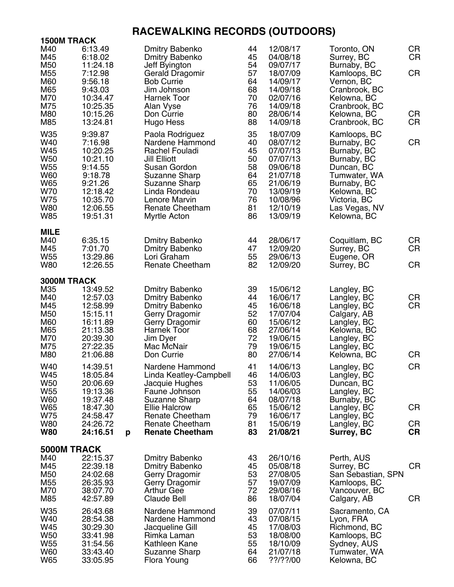## **RACEWALKING RECORDS (OUTDOORS)**

| <b>1500M TRACK</b>                                                                                         |                                                                                                                             |   |                                                                                                                                                                                                                  |                                                                |                                                                                                                                  |  |                                                                                                                                                                       |                                    |
|------------------------------------------------------------------------------------------------------------|-----------------------------------------------------------------------------------------------------------------------------|---|------------------------------------------------------------------------------------------------------------------------------------------------------------------------------------------------------------------|----------------------------------------------------------------|----------------------------------------------------------------------------------------------------------------------------------|--|-----------------------------------------------------------------------------------------------------------------------------------------------------------------------|------------------------------------|
| M40<br>M45<br>M50<br>M55<br>M60<br>M65<br>M70<br>M75<br>M80<br>M85                                         | 6:13.49<br>6:18.02<br>11:24.18<br>7:12.98<br>9:56.18<br>9:43.03<br>10:34.47<br>10:25.35<br>10:15.26<br>13:24.81             |   | <b>Dmitry Babenko</b><br><b>Dmitry Babenko</b><br>Jeff Byington<br>Gerald Dragomir<br><b>Bob Currie</b><br>Jim Johnson<br>Harnek Toor<br>Alan Vyse<br>Don Currie<br>Hugo Hess                                    | 44<br>45<br>54<br>57<br>64<br>68<br>70<br>76<br>80<br>88       | 12/08/17<br>04/08/18<br>09/07/17<br>18/07/09<br>14/09/17<br>14/09/18<br>02/07/16<br>14/09/18<br>28/06/14<br>14/09/18             |  | Toronto, ON<br>Surrey, BC<br>Burnaby, BC<br>Kamloops, BC<br>Vernon, BC<br>Cranbrook, BC<br>Kelowna, BC<br>Cranbrook, BC<br>Kelowna, BC<br>Cranbrook, BC               | CR<br><b>CR</b><br>CR<br>CR<br>CR  |
| W35<br>W40<br>W45<br>W50<br>W <sub>55</sub><br><b>W60</b><br>W65<br>W70<br>W75<br><b>W80</b><br><b>W85</b> | 9:39.87<br>7:16.98<br>10:20.25<br>10:21.10<br>9:14.55<br>9:18.78<br>9:21.26<br>12:18.42<br>10:35.70<br>12:06.55<br>19:51.31 |   | Paola Rodriguez<br>Nardene Hammond<br>Rachel Fouladi<br><b>Jill Elliott</b><br>Susan Gordon<br>Suzanne Sharp<br><b>Suzanne Sharp</b><br>Linda Rondeau<br>Lenore Marvin<br><b>Renate Cheetham</b><br>Myrtle Acton | 35<br>40<br>45<br>50<br>58<br>64<br>65<br>70<br>76<br>81<br>86 | 18/07/09<br>08/07/12<br>07/07/13<br>07/07/13<br>09/06/18<br>21/07/18<br>21/06/19<br>13/09/19<br>10/08/96<br>12/10/19<br>13/09/19 |  | Kamloops, BC<br>Burnaby, BC<br>Burnaby, BC<br>Burnaby, BC<br>Duncan, BC<br>Tumwater, WA<br>Burnaby, BC<br>Kelowna, BC<br>Victoria, BC<br>Las Vegas, NV<br>Kelowna, BC | <b>CR</b>                          |
| <b>MILE</b><br>M40<br>M45<br>W55<br><b>W80</b>                                                             | 6:35.15<br>7:01.70<br>13:29.86<br>12:26.55                                                                                  |   | <b>Dmitry Babenko</b><br>Dmitry Babenko<br>Lori Graham<br><b>Renate Cheetham</b>                                                                                                                                 | 44<br>47<br>55<br>82                                           | 28/06/17<br>12/09/20<br>29/06/13<br>12/09/20                                                                                     |  | Coquitlam, BC<br>Surrey, BC<br>Eugene, OR<br>Surrey, BC                                                                                                               | CR<br><b>CR</b><br><b>CR</b>       |
| 3000M TRACK<br>M35<br>M40<br>M45<br>M50<br>M60<br>M65<br>M70<br>M75<br>M80                                 | 13:49.52<br>12:57.03<br>12:58.99<br>15:15.11<br>16:11.89<br>21:13.38<br>20:39.30<br>27:22.35<br>21:06.88                    |   | <b>Dmitry Babenko</b><br><b>Dmitry Babenko</b><br><b>Dmitry Babenko</b><br>Gerry Dragomir<br>Gerry Dragomir<br><b>Harnek Toor</b><br>Jim Dyer<br>Mac McNair<br>Don Currie                                        | 39<br>44<br>45<br>52<br>60<br>68<br>72<br>79<br>80             | 15/06/12<br>16/06/17<br>16/06/18<br>17/07/04<br>15/06/12<br>27/06/14<br>19/06/15<br>19/06/15<br>27/06/14                         |  | Langley, BC<br>Langley, BC<br>Langley, BC<br>Calgary, AB<br>Langley, BC<br>Kelowna, BC<br>Langley, BC<br>Langley, BC<br>Kelowna, BC                                   | CR<br><b>CR</b><br>CR              |
| W40<br>W45<br>W50<br>W55<br><b>W60</b><br>W65<br>W75<br>W80<br><b>W80</b>                                  | 14:39.51<br>18:05.84<br>20:06.69<br>19:13.36<br>19:37.48<br>18:47.30<br>24:58.47<br>24:26.72<br>24:16.51                    | p | Nardene Hammond<br>Linda Keatley-Campbell<br>Jacquie Hughes<br>Faune Johnson<br>Suzanne Sharp<br><b>Ellie Halcrow</b><br><b>Renate Cheetham</b><br><b>Renate Cheetham</b><br><b>Renate Cheetham</b>              | 41<br>46<br>53<br>55<br>64<br>65<br>79<br>81<br>83             | 14/06/13<br>14/06/03<br>11/06/05<br>14/06/03<br>08/07/18<br>15/06/12<br>16/06/17<br>15/06/19<br>21/08/21                         |  | Langley, BC<br>Langley, BC<br>Duncan, BC<br>Langley, BC<br>Burnaby, BC<br>Langley, BC<br>Langley, BC<br>Langley, BC<br>Surrey, BC                                     | <b>CR</b><br>CR<br>CR<br><b>CR</b> |
| 5000M TRACK<br>M40<br>M45<br>M50<br>M55<br>M70<br>M85                                                      | 22:15.37<br>22:39.18<br>24:02.68<br>26:35.93<br>38:07.70<br>42:57.89                                                        |   | <b>Dmitry Babenko</b><br>Dmitry Babenko<br>Gerry Dragomir<br>Gerry Dragomir<br><b>Arthur Gee</b><br><b>Claude Bell</b>                                                                                           | 43<br>45<br>53<br>57<br>72<br>86                               | 26/10/16<br>05/08/18<br>27/08/05<br>19/07/09<br>29/08/16<br>18/07/04                                                             |  | Perth, AUS<br>Surrey, BC<br>San Sebastian, SPN<br>Kamloops, BC<br>Vancouver, BC<br>Calgary, AB                                                                        | CR<br>CR                           |
| W35<br>W40<br>W45<br>W50<br>W55<br>W60<br>W65                                                              | 26:43.68<br>28:54.38<br>30:29.30<br>33:41.98<br>31:54.56<br>33:43.40<br>33:05.95                                            |   | Nardene Hammond<br>Nardene Hammond<br>Jacqueline Gill<br>Rimka Laman<br>Kathleen Kane<br>Suzanne Sharp<br>Flora Young                                                                                            | 39<br>43<br>45<br>53<br>55<br>64<br>66                         | 07/07/11<br>07/08/15<br>17/08/03<br>18/08/00<br>18/10/09<br>21/07/18<br>??/??/00                                                 |  | Sacramento, CA<br>Lyon, FRA<br>Richmond, BC<br>Kamloops, BC<br>Sydney, AUS<br>Tumwater, WA<br>Kelowna, BC                                                             |                                    |